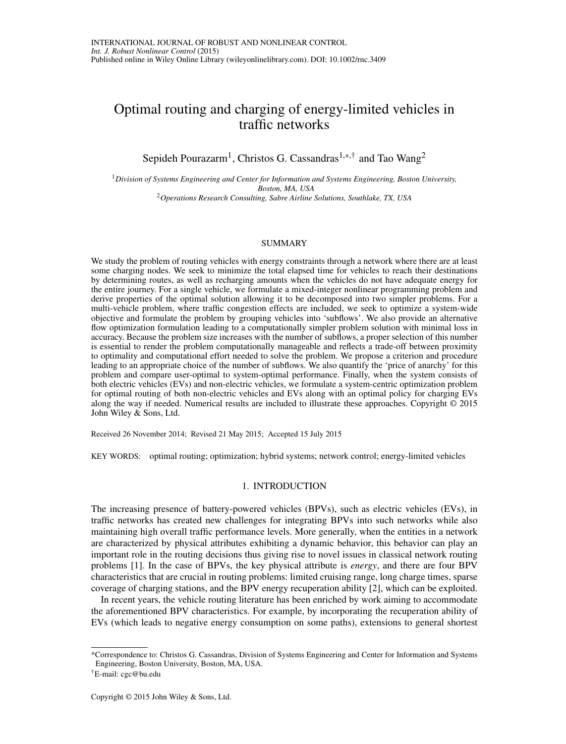# Optimal routing and charging of energy-limited vehicles in traffic networks

Sepideh Pourazarm<sup>1</sup>, Christos G. Cassandras<sup>1,\*,†</sup> and Tao Wang<sup>2</sup>

<sup>1</sup>*Division of Systems Engineering and Center for Information and Systems Engineering, Boston University, Boston, MA, USA* <sup>2</sup>*Operations Research Consulting, Sabre Airline Solutions, Southlake, TX, USA*

## SUMMARY

We study the problem of routing vehicles with energy constraints through a network where there are at least some charging nodes. We seek to minimize the total elapsed time for vehicles to reach their destinations by determining routes, as well as recharging amounts when the vehicles do not have adequate energy for the entire journey. For a single vehicle, we formulate a mixed-integer nonlinear programming problem and derive properties of the optimal solution allowing it to be decomposed into two simpler problems. For a multi-vehicle problem, where traffic congestion effects are included, we seek to optimize a system-wide objective and formulate the problem by grouping vehicles into 'subflows'. We also provide an alternative flow optimization formulation leading to a computationally simpler problem solution with minimal loss in accuracy. Because the problem size increases with the number of subflows, a proper selection of this number is essential to render the problem computationally manageable and reflects a trade-off between proximity to optimality and computational effort needed to solve the problem. We propose a criterion and procedure leading to an appropriate choice of the number of subflows. We also quantify the 'price of anarchy' for this problem and compare user-optimal to system-optimal performance. Finally, when the system consists of both electric vehicles (EVs) and non-electric vehicles, we formulate a system-centric optimization problem for optimal routing of both non-electric vehicles and EVs along with an optimal policy for charging EVs along the way if needed. Numerical results are included to illustrate these approaches. Copyright © 2015 John Wiley & Sons, Ltd.

Received 26 November 2014; Revised 21 May 2015; Accepted 15 July 2015

KEY WORDS: optimal routing; optimization; hybrid systems; network control; energy-limited vehicles

#### 1. INTRODUCTION

The increasing presence of battery-powered vehicles (BPVs), such as electric vehicles (EVs), in traffic networks has created new challenges for integrating BPVs into such networks while also maintaining high overall traffic performance levels. More generally, when the entities in a network are characterized by physical attributes exhibiting a dynamic behavior, this behavior can play an important role in the routing decisions thus giving rise to novel issues in classical network routing problems [\[1\]](#page-24-0). In the case of BPVs, the key physical attribute is *energy*, and there are four BPV characteristics that are crucial in routing problems: limited cruising range, long charge times, sparse coverage of charging stations, and the BPV energy recuperation ability [\[2\]](#page-24-1), which can be exploited.

In recent years, the vehicle routing literature has been enriched by work aiming to accommodate the aforementioned BPV characteristics. For example, by incorporating the recuperation ability of EVs (which leads to negative energy consumption on some paths), extensions to general shortest

<sup>\*</sup>Correspondence to: Christos G. Cassandras, Division of Systems Engineering and Center for Information and Systems Engineering, Boston University, Boston, MA, USA.

<sup>†</sup>E-mail: cgc@bu.edu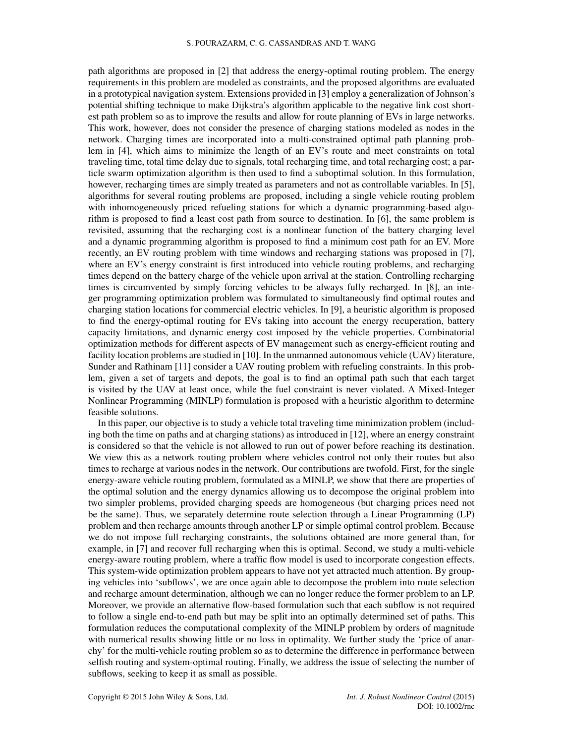path algorithms are proposed in [\[2\]](#page-24-1) that address the energy-optimal routing problem. The energy requirements in this problem are modeled as constraints, and the proposed algorithms are evaluated in a prototypical navigation system. Extensions provided in [\[3\]](#page-25-0) employ a generalization of Johnson's potential shifting technique to make Dijkstra's algorithm applicable to the negative link cost shortest path problem so as to improve the results and allow for route planning of EVs in large networks. This work, however, does not consider the presence of charging stations modeled as nodes in the network. Charging times are incorporated into a multi-constrained optimal path planning problem in [\[4\]](#page-25-1), which aims to minimize the length of an EV's route and meet constraints on total traveling time, total time delay due to signals, total recharging time, and total recharging cost; a particle swarm optimization algorithm is then used to find a suboptimal solution. In this formulation, however, recharging times are simply treated as parameters and not as controllable variables. In [\[5\]](#page-25-2), algorithms for several routing problems are proposed, including a single vehicle routing problem with inhomogeneously priced refueling stations for which a dynamic programming-based algorithm is proposed to find a least cost path from source to destination. In [\[6\]](#page-25-3), the same problem is revisited, assuming that the recharging cost is a nonlinear function of the battery charging level and a dynamic programming algorithm is proposed to find a minimum cost path for an EV. More recently, an EV routing problem with time windows and recharging stations was proposed in [\[7\]](#page-25-4), where an EV's energy constraint is first introduced into vehicle routing problems, and recharging times depend on the battery charge of the vehicle upon arrival at the station. Controlling recharging times is circumvented by simply forcing vehicles to be always fully recharged. In [\[8\]](#page-25-5), an integer programming optimization problem was formulated to simultaneously find optimal routes and charging station locations for commercial electric vehicles. In [\[9\]](#page-25-6), a heuristic algorithm is proposed to find the energy-optimal routing for EVs taking into account the energy recuperation, battery capacity limitations, and dynamic energy cost imposed by the vehicle properties. Combinatorial optimization methods for different aspects of EV management such as energy-efficient routing and facility location problems are studied in [\[10\]](#page-25-7). In the unmanned autonomous vehicle (UAV) literature, Sunder and Rathinam [\[11\]](#page-25-8) consider a UAV routing problem with refueling constraints. In this problem, given a set of targets and depots, the goal is to find an optimal path such that each target is visited by the UAV at least once, while the fuel constraint is never violated. A Mixed-Integer Nonlinear Programming (MINLP) formulation is proposed with a heuristic algorithm to determine feasible solutions.

In this paper, our objective is to study a vehicle total traveling time minimization problem (including both the time on paths and at charging stations) as introduced in [\[12\]](#page-25-9), where an energy constraint is considered so that the vehicle is not allowed to run out of power before reaching its destination. We view this as a network routing problem where vehicles control not only their routes but also times to recharge at various nodes in the network. Our contributions are twofold. First, for the single energy-aware vehicle routing problem, formulated as a MINLP, we show that there are properties of the optimal solution and the energy dynamics allowing us to decompose the original problem into two simpler problems, provided charging speeds are homogeneous (but charging prices need not be the same). Thus, we separately determine route selection through a Linear Programming (LP) problem and then recharge amounts through another LP or simple optimal control problem. Because we do not impose full recharging constraints, the solutions obtained are more general than, for example, in [\[7\]](#page-25-4) and recover full recharging when this is optimal. Second, we study a multi-vehicle energy-aware routing problem, where a traffic flow model is used to incorporate congestion effects. This system-wide optimization problem appears to have not yet attracted much attention. By grouping vehicles into 'subflows', we are once again able to decompose the problem into route selection and recharge amount determination, although we can no longer reduce the former problem to an LP. Moreover, we provide an alternative flow-based formulation such that each subflow is not required to follow a single end-to-end path but may be split into an optimally determined set of paths. This formulation reduces the computational complexity of the MINLP problem by orders of magnitude with numerical results showing little or no loss in optimality. We further study the 'price of anarchy' for the multi-vehicle routing problem so as to determine the difference in performance between selfish routing and system-optimal routing. Finally, we address the issue of selecting the number of subflows, seeking to keep it as small as possible.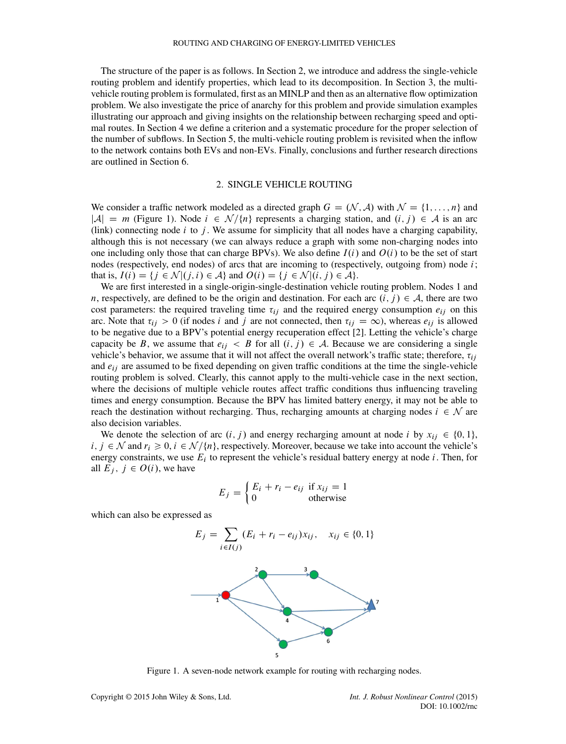The structure of the paper is as follows. In Section [2,](#page-2-0) we introduce and address the single-vehicle routing problem and identify properties, which lead to its decomposition. In Section [3,](#page-7-0) the multivehicle routing problem is formulated, first as an MINLP and then as an alternative flow optimization problem. We also investigate the price of anarchy for this problem and provide simulation examples illustrating our approach and giving insights on the relationship between recharging speed and optimal routes. In Section [4](#page-18-0) we define a criterion and a systematic procedure for the proper selection of the number of subflows. In Section [5,](#page-22-0) the multi-vehicle routing problem is revisited when the inflow to the network contains both EVs and non-EVs. Finally, conclusions and further research directions are outlined in Section [6.](#page-24-2)

#### 2. SINGLE VEHICLE ROUTING

<span id="page-2-0"></span>We consider a traffic network modeled as a directed graph  $G = (N, A)$  with  $N = \{1, \ldots, n\}$  and  $|\mathcal{A}| = m$  (Figure [1\)](#page-2-1). Node  $i \in \mathcal{N}{n}$  represents a charging station, and  $(i, j) \in \mathcal{A}$  is an arc (link) connecting node i to j. We assume for simplicity that all nodes have a charging capability, although this is not necessary (we can always reduce a graph with some non-charging nodes into one including only those that can charge BPVs). We also define  $I(i)$  and  $O(i)$  to be the set of start nodes (respectively, end nodes) of arcs that are incoming to (respectively, outgoing from) node  $i$ ; that is,  $I(i) = \{j \in \mathcal{N} | (j, i) \in \mathcal{A} \}$  and  $O(i) = \{j \in \mathcal{N} | (i, j) \in \mathcal{A} \}.$ 

We are first interested in a single-origin-single-destination vehicle routing problem. Nodes 1 and n, respectively, are defined to be the origin and destination. For each arc  $(i, j) \in A$ , there are two cost parameters: the required traveling time  $\tau_{ij}$  and the required energy consumption  $e_{ij}$  on this arc. Note that  $\tau_{ij} > 0$  (if nodes i and j are not connected, then  $\tau_{ij} = \infty$ ), whereas  $e_{ij}$  is allowed to be negative due to a BPV's potential energy recuperation effect [\[2\]](#page-24-1). Letting the vehicle's charge capacity be B, we assume that  $e_{ij} < B$  for all  $(i, j) \in A$ . Because we are considering a single vehicle's behavior, we assume that it will not affect the overall network's traffic state; therefore,  $\tau_{ij}$ and  $e_{ij}$  are assumed to be fixed depending on given traffic conditions at the time the single-vehicle routing problem is solved. Clearly, this cannot apply to the multi-vehicle case in the next section, where the decisions of multiple vehicle routes affect traffic conditions thus influencing traveling times and energy consumption. Because the BPV has limited battery energy, it may not be able to reach the destination without recharging. Thus, recharging amounts at charging nodes  $i \in \mathcal{N}$  are also decision variables.

We denote the selection of arc  $(i, j)$  and energy recharging amount at node i by  $x_{ij} \in \{0, 1\}$ ,  $i, j \in \mathcal{N}$  and  $r_i \geq 0, i \in \mathcal{N}/\{n\}$ , respectively. Moreover, because we take into account the vehicle's energy constraints, we use  $E_i$  to represent the vehicle's residual battery energy at node  $i$ . Then, for all  $E_i$ ,  $j \in O(i)$ , we have

$$
E_j = \begin{cases} E_i + r_i - e_{ij} & \text{if } x_{ij} = 1\\ 0 & \text{otherwise} \end{cases}
$$

which can also be expressed as

$$
E_j = \sum_{i \in I(j)} (E_i + r_i - e_{ij}) x_{ij}, \quad x_{ij} \in \{0, 1\}
$$



<span id="page-2-1"></span>Figure 1. A seven-node network example for routing with recharging nodes.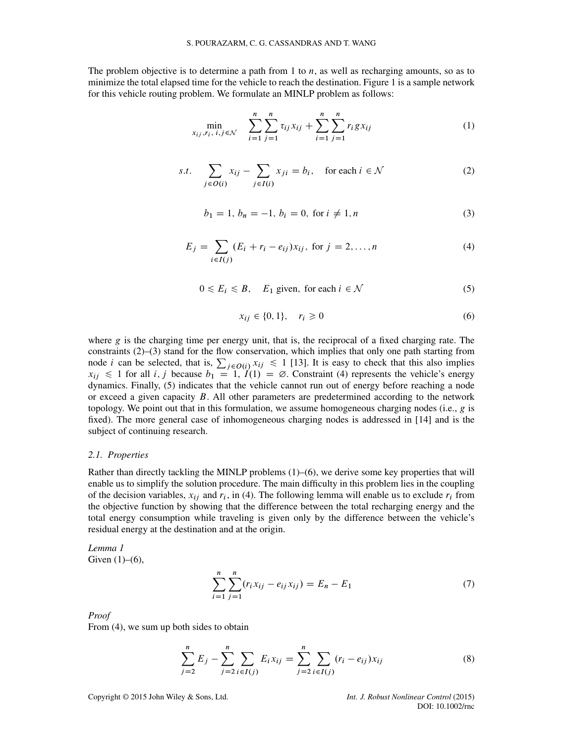The problem objective is to determine a path from 1 to  $n$ , as well as recharging amounts, so as to minimize the total elapsed time for the vehicle to reach the destination. Figure [1](#page-2-1) is a sample network for this vehicle routing problem. We formulate an MINLP problem as follows:

<span id="page-3-4"></span>
$$
\min_{x_{ij}, r_i, i, j \in \mathcal{N}} \quad \sum_{i=1}^n \sum_{j=1}^n \tau_{ij} x_{ij} + \sum_{i=1}^n \sum_{j=1}^n r_i g x_{ij} \tag{1}
$$

<span id="page-3-0"></span>s.t. 
$$
\sum_{j \in O(i)} x_{ij} - \sum_{j \in I(i)} x_{ji} = b_i, \text{ for each } i \in \mathcal{N}
$$
 (2)

<span id="page-3-1"></span>
$$
b_1 = 1, b_n = -1, b_i = 0, \text{ for } i \neq 1, n
$$
 (3)

<span id="page-3-2"></span>
$$
E_j = \sum_{i \in I(j)} (E_i + r_i - e_{ij}) x_{ij}, \text{ for } j = 2, ..., n
$$
 (4)

<span id="page-3-3"></span>
$$
0 \le E_i \le B, \quad E_1 \text{ given, for each } i \in \mathcal{N} \tag{5}
$$

<span id="page-3-5"></span>
$$
x_{ij} \in \{0, 1\}, \quad r_i \ge 0 \tag{6}
$$

where  $g$  is the charging time per energy unit, that is, the reciprocal of a fixed charging rate. The constraints [\(2\)](#page-3-0)–[\(3\)](#page-3-1) stand for the flow conservation, which implies that only one path starting from node *i* can be selected, that is,  $\sum_{j \in O(i)} x_{ij} \le 1$  [\[13\]](#page-25-10). It is easy to check that this also implies  $x_{ij} \le 1$  for all i, j because  $b_1 = 1$ ,  $I(1) = \emptyset$ . Constraint [\(4\)](#page-3-2) represents the vehicle's energy dynamics. Finally, [\(5\)](#page-3-3) indicates that the vehicle cannot run out of energy before reaching a node or exceed a given capacity  $B$ . All other parameters are predetermined according to the network topology. We point out that in this formulation, we assume homogeneous charging nodes (i.e.,  $g$  is fixed). The more general case of inhomogeneous charging nodes is addressed in [\[14\]](#page-25-11) and is the subject of continuing research.

## *2.1. Properties*

Rather than directly tackling the MINLP problems [\(1\)](#page-3-4)–[\(6\)](#page-3-5), we derive some key properties that will enable us to simplify the solution procedure. The main difficulty in this problem lies in the coupling of the decision variables,  $x_{ij}$  and  $r_i$ , in [\(4\)](#page-3-2). The following lemma will enable us to exclude  $r_i$  from the objective function by showing that the difference between the total recharging energy and the total energy consumption while traveling is given only by the difference between the vehicle's residual energy at the destination and at the origin.

<span id="page-3-7"></span>*Lemma 1* Given  $(1)$ – $(6)$ ,

$$
\sum_{i=1}^{n} \sum_{j=1}^{n} (r_i x_{ij} - e_{ij} x_{ij}) = E_n - E_1
$$
 (7)

*Proof*

From [\(4\)](#page-3-2), we sum up both sides to obtain

<span id="page-3-6"></span>
$$
\sum_{j=2}^{n} E_j - \sum_{j=2}^{n} \sum_{i \in I(j)} E_i x_{ij} = \sum_{j=2}^{n} \sum_{i \in I(j)} (r_i - e_{ij}) x_{ij}
$$
(8)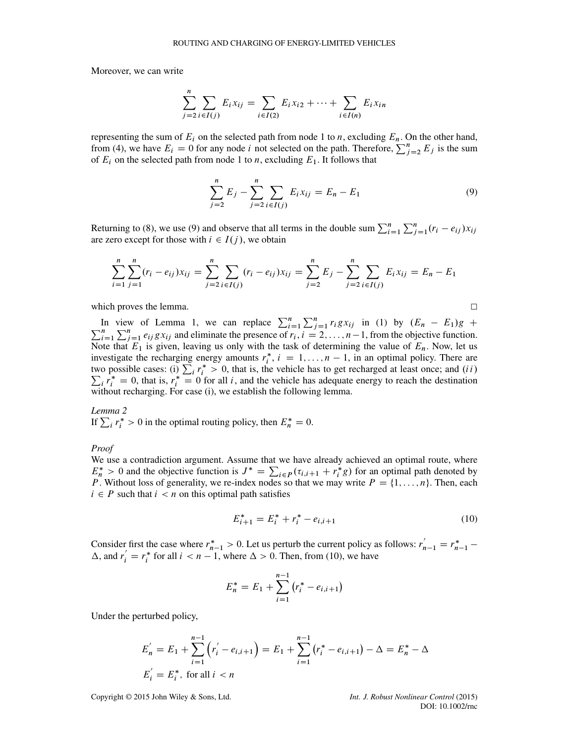Moreover, we can write

$$
\sum_{j=2}^{n} \sum_{i \in I(j)} E_i x_{ij} = \sum_{i \in I(2)} E_i x_{i2} + \dots + \sum_{i \in I(n)} E_i x_{in}
$$

representing the sum of  $E_i$  on the selected path from node 1 to n, excluding  $E_n$ . On the other hand, from [\(4\)](#page-3-2), we have  $E_i = 0$  for any node i not selected on the path. Therefore,  $\sum_{j=2}^{n} E_j$  is the sum of  $E_i$  on the selected path from node 1 to *n*, excluding  $E_1$ . It follows that

<span id="page-4-0"></span>
$$
\sum_{j=2}^{n} E_j - \sum_{j=2}^{n} \sum_{i \in I(j)} E_i x_{ij} = E_n - E_1
$$
\n(9)

Returning to [\(8\)](#page-3-6), we use [\(9\)](#page-4-0) and observe that all terms in the double sum  $\sum_{i=1}^{n} \sum_{j=1}^{n} (r_i - e_{ij}) x_{ij}$ are zero except for those with  $i \in I(j)$ , we obtain

$$
\sum_{i=1}^{n} \sum_{j=1}^{n} (r_i - e_{ij}) x_{ij} = \sum_{j=2}^{n} \sum_{i \in I(j)} (r_i - e_{ij}) x_{ij} = \sum_{j=2}^{n} E_j - \sum_{j=2}^{n} \sum_{i \in I(j)} E_i x_{ij} = E_n - E_1
$$

which proves the lemma.  $\Box$ 

In view of Lemma [1,](#page-3-7) we can replace  $\sum_{i=1}^{n} \sum_{j=1}^{n} r_i g x_{ij}$  in [\(1\)](#page-3-4) by  $(E_n - E_1)g + \sum_{i=1}^{n} \sum_{j=1}^{n} e_{ij} g x_{ij}$  and eliminate the presence of  $r_i$ ,  $i = 2, ..., n-1$ , from the objective function. Note that  $E_1$  is given, leaving us only with the task of determining the value of  $E_n$ . Now, let us investigate the recharging energy amounts  $r_i^*$ ,  $i = 1, ..., n - 1$ , in an optimal policy. There are two possible cases: (i)  $\sum_i r_i^* > 0$ , that is, the vehicle has to get recharged at least once; and *(ii)*  $\sum_i r_i^* = 0$ , that is,  $r_i^* = 0$  for all *i*, and the vehicle has adequate energy to reach the destination without recharging. For case (i), we establish the following lemma.

<span id="page-4-2"></span>*Lemma 2* If  $\sum_i r_i^* > 0$  in the optimal routing policy, then  $E_n^* = 0$ .

*Proof*

We use a contradiction argument. Assume that we have already achieved an optimal route, where  $E_n^* > 0$  and the objective function is  $J^* = \sum_{i \in P} (\tau_{i,i+1} + r_i^* g)$  for an optimal path denoted by P. Without loss of generality, we re-index nodes so that we may write  $P = \{1, \ldots, n\}$ . Then, each  $i \in P$  such that  $i < n$  on this optimal path satisfies

<span id="page-4-1"></span>
$$
E_{i+1}^* = E_i^* + r_i^* - e_{i,i+1}
$$
 (10)

Consider first the case where  $r_{n-1}^* > 0$ . Let us perturb the current policy as follows:  $r_{n-1}' = r_{n-1}^* \Delta$ , and  $r'_i = r_i^*$  for all  $i < n - 1$ , where  $\Delta > 0$ . Then, from [\(10\)](#page-4-1), we have

$$
E_n^* = E_1 + \sum_{i=1}^{n-1} (r_i^* - e_{i,i+1})
$$

Under the perturbed policy,

$$
E'_{n} = E_{1} + \sum_{i=1}^{n-1} (r'_{i} - e_{i,i+1}) = E_{1} + \sum_{i=1}^{n-1} (r_{i}^{*} - e_{i,i+1}) - \Delta = E_{n}^{*} - \Delta
$$
  

$$
E'_{i} = E_{i}^{*}, \text{ for all } i < n
$$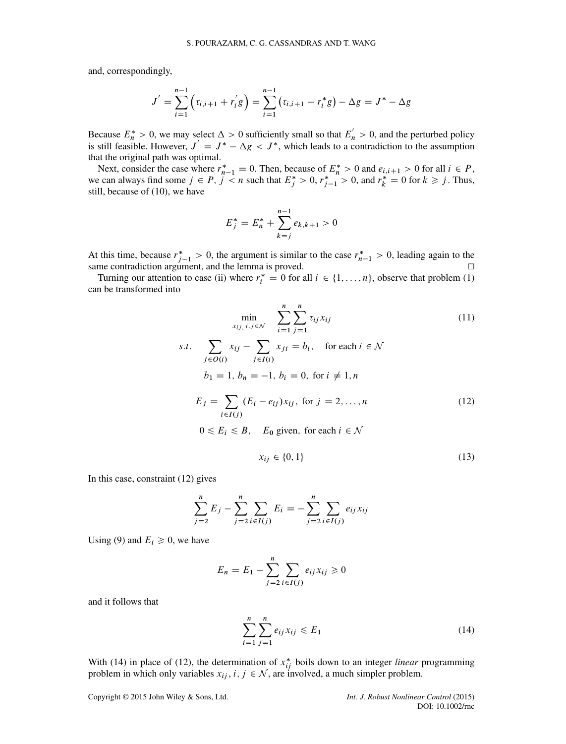and, correspondingly,

$$
J' = \sum_{i=1}^{n-1} \left( \tau_{i,i+1} + r'_i g \right) = \sum_{i=1}^{n-1} \left( \tau_{i,i+1} + r_i^* g \right) - \Delta g = J^* - \Delta g
$$

Because  $E_n^* > 0$ , we may select  $\Delta > 0$  sufficiently small so that  $E_n' > 0$ , and the perturbed policy is still feasible. However,  $J' = J^* - \Delta g < J^*$ , which leads to a contradiction to the assumption that the original path was optimal.

Next, consider the case where  $r_{n-1}^* = 0$ . Then, because of  $E_n^* > 0$  and  $e_{i,i+1} > 0$  for all  $i \in P$ , we can always find some  $j \in P$ ,  $j < n$  such that  $E_j^* > 0$ ,  $r_{j-1}^* > 0$ , and  $r_k^* = 0$  for  $k \ge j$ . Thus, still, because of [\(10\)](#page-4-1), we have

$$
E_j^* = E_n^* + \sum_{k=j}^{n-1} e_{k,k+1} > 0
$$

At this time, because  $r_{j-1}^* > 0$ , the argument is similar to the case  $r_{n-1}^* > 0$ , leading again to the same contradiction argument, and the lemma is proved.  $\Box$ 

Turning our attention to case (ii) where  $r_i^* = 0$  for all  $i \in \{1, ..., n\}$ , observe that problem [\(1\)](#page-3-4) can be transformed into

<span id="page-5-2"></span>
$$
\min_{x_{ij}, i, j \in \mathcal{N}} \sum_{i=1}^{n} \sum_{j=1}^{n} \tau_{ij} x_{ij}
$$
\ns.t. 
$$
\sum_{j \in O(i)} x_{ij} - \sum_{j \in I(i)} x_{ji} = b_i, \text{ for each } i \in \mathcal{N}
$$
\n
$$
b_1 = 1, b_n = -1, b_i = 0, \text{ for } i \neq 1, n
$$
\n
$$
E_j = \sum_{i \in I(j)} (E_i - e_{ij}) x_{ij}, \text{ for } j = 2, ..., n
$$
\n
$$
0 \le E_i \le B, \quad E_0 \text{ given, for each } i \in \mathcal{N}
$$
\n(12)

<span id="page-5-3"></span><span id="page-5-0"></span>
$$
x_{ij} \in \{0, 1\} \tag{13}
$$

In this case, constraint [\(12\)](#page-5-0) gives

$$
\sum_{j=2}^{n} E_j - \sum_{j=2}^{n} \sum_{i \in I(j)} E_i = -\sum_{j=2}^{n} \sum_{i \in I(j)} e_{ij} x_{ij}
$$

Using [\(9\)](#page-4-0) and  $E_i \geq 0$ , we have

$$
E_n = E_1 - \sum_{j=2}^{n} \sum_{i \in I(j)} e_{ij} x_{ij} \ge 0
$$

and it follows that

<span id="page-5-1"></span>
$$
\sum_{i=1}^{n} \sum_{j=1}^{n} e_{ij} x_{ij} \le E_1
$$
 (14)

With [\(14\)](#page-5-1) in place of [\(12\)](#page-5-0), the determination of  $x_{ij}^*$  boils down to an integer *linear* programming problem in which only variables  $x_{ij}$ ,  $i, j \in \mathcal{N}$ , are involved, a much simpler problem.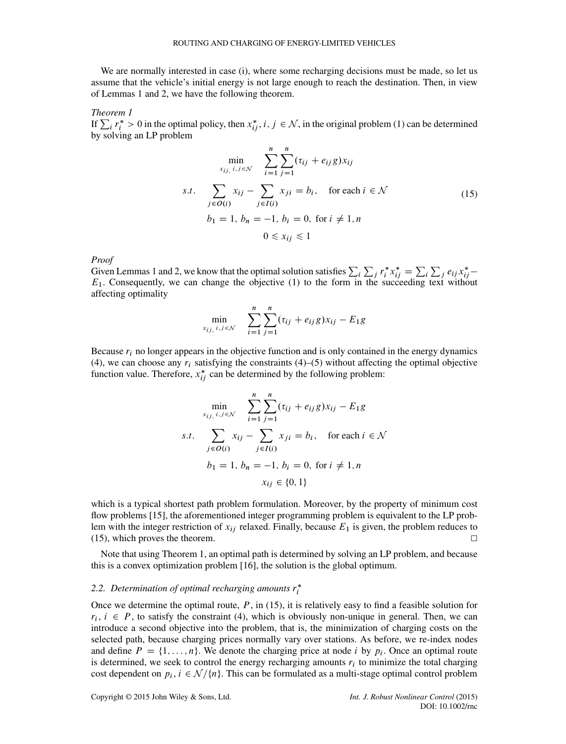We are normally interested in case (i), where some recharging decisions must be made, so let us assume that the vehicle's initial energy is not large enough to reach the destination. Then, in view of Lemmas [1](#page-3-7) and [2,](#page-4-2) we have the following theorem.

<span id="page-6-1"></span>*Theorem 1*

 $\prod_{i} \sum_{i} r_i^* > 0$  in the optimal policy, then  $x_{ij}^*$ ,  $i, j \in \mathcal{N}$ , in the original problem [\(1\)](#page-3-4) can be determined by solving an LP problem

<span id="page-6-0"></span>
$$
\min_{x_{ij, i, j \in \mathcal{N}}} \sum_{i=1}^{n} \sum_{j=1}^{n} (\tau_{ij} + e_{ij} g) x_{ij}
$$
  
s.t. 
$$
\sum_{j \in O(i)} x_{ij} - \sum_{j \in I(i)} x_{ji} = b_i, \text{ for each } i \in \mathcal{N}
$$
  

$$
b_1 = 1, b_n = -1, b_i = 0, \text{ for } i \neq 1, n
$$
  

$$
0 \le x_{ij} \le 1
$$
 (15)

*Proof*

Given Lemmas [1](#page-3-7) and [2,](#page-4-2) we know that the optimal solution satisfies  $\sum_i \sum_j r_i^* x_{ij}^* = \sum_i \sum_j e_{ij} x_{ij}^*$  $E_1$ . Consequently, we can change the objective [\(1\)](#page-3-4) to the form in the succeeding text without affecting optimality

$$
\min_{x_{ij, i, j \in \mathcal{N}}} \sum_{i=1}^{n} \sum_{j=1}^{n} (\tau_{ij} + e_{ij} g) x_{ij} - E_1 g
$$

Because  $r_i$  no longer appears in the objective function and is only contained in the energy dynamics [\(4\)](#page-3-2), we can choose any  $r_i$  satisfying the constraints (4)–[\(5\)](#page-3-3) without affecting the optimal objective function value. Therefore,  $x_{ij}^*$  can be determined by the following problem:

$$
\min_{x_{ij, i, j \in \mathcal{N}}} \sum_{i=1}^{n} \sum_{j=1}^{n} (\tau_{ij} + e_{ij} g) x_{ij} - E_1 g
$$
  
s.t. 
$$
\sum_{j \in O(i)} x_{ij} - \sum_{j \in I(i)} x_{ji} = b_i, \text{ for each } i \in \mathcal{N}
$$

$$
b_1 = 1, b_n = -1, b_i = 0, \text{ for } i \neq 1, n
$$

$$
x_{ij} \in \{0, 1\}
$$

which is a typical shortest path problem formulation. Moreover, by the property of minimum cost flow problems [\[15\]](#page-25-12), the aforementioned integer programming problem is equivalent to the LP problem with the integer restriction of  $x_{ij}$  relaxed. Finally, because  $E_1$  is given, the problem reduces to  $(15)$ , which proves the theorem.  $\Box$ 

Note that using Theorem [1,](#page-6-1) an optimal path is determined by solving an LP problem, and because this is a convex optimization problem [\[16\]](#page-25-13), the solution is the global optimum.

## <span id="page-6-2"></span>2.2. Determination of optimal recharging amounts  $r_i^*$

Once we determine the optimal route,  $P$ , in [\(15\)](#page-6-0), it is relatively easy to find a feasible solution for  $r_i$ ,  $i \in P$ , to satisfy the constraint [\(4\)](#page-3-2), which is obviously non-unique in general. Then, we can introduce a second objective into the problem, that is, the minimization of charging costs on the selected path, because charging prices normally vary over stations. As before, we re-index nodes and define  $P = \{1, \ldots, n\}$ . We denote the charging price at node i by  $p_i$ . Once an optimal route is determined, we seek to control the energy recharging amounts  $r_i$  to minimize the total charging cost dependent on  $p_i$ ,  $i \in \mathcal{N}/\{n\}$ . This can be formulated as a multi-stage optimal control problem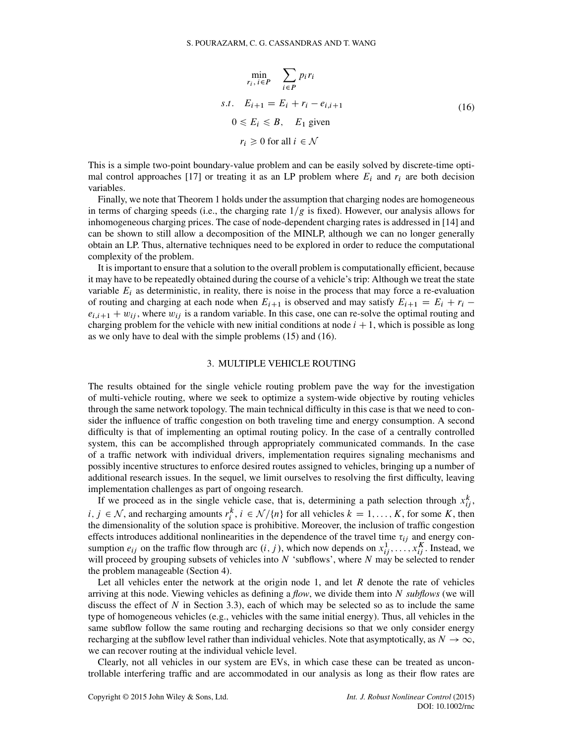<span id="page-7-1"></span>
$$
\min_{r_i, i \in P} \sum_{i \in P} p_i r_i
$$
  
s.t.  $E_{i+1} = E_i + r_i - e_{i,i+1}$   
 $0 \le E_i \le B, E_1$  given  
 $r_i \ge 0$  for all  $i \in \mathcal{N}$  (16)

This is a simple two-point boundary-value problem and can be easily solved by discrete-time opti-mal control approaches [\[17\]](#page-25-14) or treating it as an LP problem where  $E_i$  and  $r_i$  are both decision variables.

Finally, we note that Theorem [1](#page-6-1) holds under the assumption that charging nodes are homogeneous in terms of charging speeds (i.e., the charging rate  $1/g$  is fixed). However, our analysis allows for inhomogeneous charging prices. The case of node-dependent charging rates is addressed in [\[14\]](#page-25-11) and can be shown to still allow a decomposition of the MINLP, although we can no longer generally obtain an LP. Thus, alternative techniques need to be explored in order to reduce the computational complexity of the problem.

It is important to ensure that a solution to the overall problem is computationally efficient, because it may have to be repeatedly obtained during the course of a vehicle's trip: Although we treat the state variable  $E_i$  as deterministic, in reality, there is noise in the process that may force a re-evaluation of routing and charging at each node when  $E_{i+1}$  is observed and may satisfy  $E_{i+1} = E_i + r_i$  $e_{i,i+1} + w_{ij}$ , where  $w_{ij}$  is a random variable. In this case, one can re-solve the optimal routing and charging problem for the vehicle with new initial conditions at node  $i + 1$ , which is possible as long as we only have to deal with the simple problems [\(15\)](#page-6-0) and [\(16\)](#page-7-1).

#### 3. MULTIPLE VEHICLE ROUTING

<span id="page-7-0"></span>The results obtained for the single vehicle routing problem pave the way for the investigation of multi-vehicle routing, where we seek to optimize a system-wide objective by routing vehicles through the same network topology. The main technical difficulty in this case is that we need to consider the influence of traffic congestion on both traveling time and energy consumption. A second difficulty is that of implementing an optimal routing policy. In the case of a centrally controlled system, this can be accomplished through appropriately communicated commands. In the case of a traffic network with individual drivers, implementation requires signaling mechanisms and possibly incentive structures to enforce desired routes assigned to vehicles, bringing up a number of additional research issues. In the sequel, we limit ourselves to resolving the first difficulty, leaving implementation challenges as part of ongoing research.

If we proceed as in the single vehicle case, that is, determining a path selection through  $x_{ij}^k$ ,  $i, j \in \mathcal{N}$ , and recharging amounts  $r_i^k$ ,  $i \in \mathcal{N}/\{n\}$  for all vehicles  $k = 1, ..., K$ , for some K, then the dimensionality of the solution space is prohibitive. Moreover, the inclusion of traffic congestion effects introduces additional nonlinearities in the dependence of the travel time  $\tau_{ij}$  and energy consumption  $e_{ij}$  on the traffic flow through arc  $(i, j)$ , which now depends on  $x_{ij}^1, \ldots, x_{ij}^K$ . Instead, we will proceed by grouping subsets of vehicles into  $N$  'subflows', where  $N$  may be selected to render the problem manageable (Section [4\)](#page-18-0).

Let all vehicles enter the network at the origin node 1, and let  $R$  denote the rate of vehicles arriving at this node. Viewing vehicles as defining a *flow*, we divide them into N *subflows* (we will discuss the effect of  $N$  in Section [3.3\)](#page-13-0), each of which may be selected so as to include the same type of homogeneous vehicles (e.g., vehicles with the same initial energy). Thus, all vehicles in the same subflow follow the same routing and recharging decisions so that we only consider energy recharging at the subflow level rather than individual vehicles. Note that asymptotically, as  $N \to \infty$ , we can recover routing at the individual vehicle level.

Clearly, not all vehicles in our system are EVs, in which case these can be treated as uncontrollable interfering traffic and are accommodated in our analysis as long as their flow rates are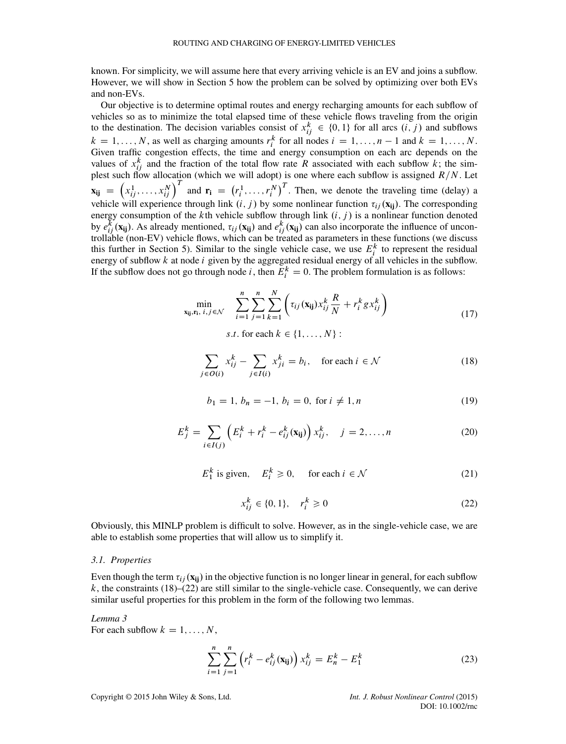known. For simplicity, we will assume here that every arriving vehicle is an EV and joins a subflow. However, we will show in Section [5](#page-22-0) how the problem can be solved by optimizing over both EVs and non-EVs.

Our objective is to determine optimal routes and energy recharging amounts for each subflow of vehicles so as to minimize the total elapsed time of these vehicle flows traveling from the origin to the destination. The decision variables consist of  $x_{ij}^k \in \{0, 1\}$  for all arcs  $(i, j)$  and subflows  $k = 1, \ldots, N$ , as well as charging amounts  $r_i^k$  for all nodes  $i = 1, \ldots, n - 1$  and  $k = 1, \ldots, N$ . Given traffic congestion effects, the time and energy consumption on each arc depends on the values of  $x_{ij}^k$  and the fraction of the total flow rate R associated with each subflow k; the simplest such flow allocation (which we will adopt) is one where each subflow is assigned  $R/N$ . Let  $\mathbf{x}_{ij}$  =  $\left(x_{ij}^1, \ldots, x_{ij}^N\right)^T$  and  $\mathbf{r_i} = \left(r_i^1, \ldots, r_i^N\right)^T$ . Then, we denote the traveling time (delay) a vehicle will experience through link  $(i, j)$  by some nonlinear function  $\tau_{ij}(\mathbf{x_{ij}})$ . The corresponding energy consumption of the kth vehicle subflow through link  $(i, j)$  is a nonlinear function denoted by  $e_{ij}^k(\mathbf{x_{ij}})$ . As already mentioned,  $\tau_{ij}(\mathbf{x_{ij}})$  and  $e_{ij}^k(\mathbf{x_{ij}})$  can also incorporate the influence of uncontrollable (non-EV) vehicle flows, which can be treated as parameters in these functions (we discuss this further in Section [5\)](#page-22-0). Similar to the single vehicle case, we use  $E_i^k$  to represent the residual energy of subflow  $k$  at node  $i$  given by the aggregated residual energy of all vehicles in the subflow. If the subflow does not go through node *i*, then  $E_i^k = 0$ . The problem formulation is as follows:

<span id="page-8-4"></span>
$$
\min_{\mathbf{x_{ij}}, \mathbf{r_{i}}, \ i, j \in \mathcal{N}} \quad \sum_{i=1}^{n} \sum_{j=1}^{n} \sum_{k=1}^{N} \left( \tau_{ij} (\mathbf{x_{ij}}) x_{ij}^{k} \frac{R}{N} + r_{i}^{k} g x_{ij}^{k} \right) \tag{17}
$$

s.t. for each  $k \in \{1, \ldots, N\}$ :

<span id="page-8-0"></span>
$$
\sum_{j \in O(i)} x_{ij}^k - \sum_{j \in I(i)} x_{ji}^k = b_i, \quad \text{for each } i \in \mathcal{N}
$$
 (18)

$$
b_1 = 1, b_n = -1, b_i = 0, \text{ for } i \neq 1, n
$$
 (19)

<span id="page-8-2"></span>
$$
E_j^k = \sum_{i \in I(j)} \left( E_i^k + r_i^k - e_{ij}^k(\mathbf{x}_{ij}) \right) x_{ij}^k, \quad j = 2, ..., n
$$
 (20)

<span id="page-8-5"></span>
$$
E_1^k \text{ is given, } E_i^k \ge 0, \quad \text{for each } i \in \mathcal{N} \tag{21}
$$

<span id="page-8-1"></span>
$$
x_{ij}^k \in \{0, 1\}, \quad r_i^k \ge 0 \tag{22}
$$

Obviously, this MINLP problem is difficult to solve. However, as in the single-vehicle case, we are able to establish some properties that will allow us to simplify it.

#### <span id="page-8-6"></span>*3.1. Properties*

Even though the term  $\tau_{ij}$  ( $\mathbf{x}_{ij}$ ) in the objective function is no longer linear in general, for each subflow  $k$ , the constraints [\(18\)](#page-8-0)–[\(22\)](#page-8-1) are still similar to the single-vehicle case. Consequently, we can derive similar useful properties for this problem in the form of the following two lemmas.

## <span id="page-8-3"></span>*Lemma 3* For each subflow  $k = 1, \ldots, N$ ,

$$
\sum_{i=1}^{n} \sum_{j=1}^{n} \left( r_i^k - e_{ij}^k(\mathbf{x}_{ij}) \right) x_{ij}^k = E_n^k - E_1^k \tag{23}
$$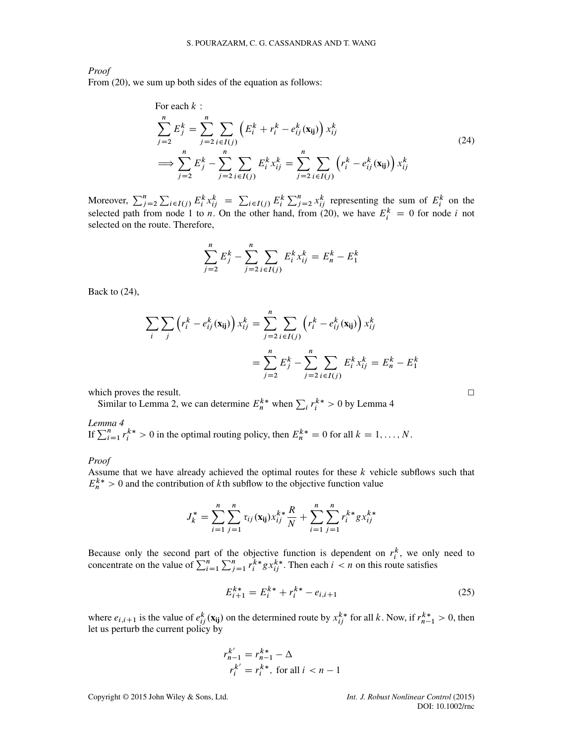*Proof*

From [\(20\)](#page-8-2), we sum up both sides of the equation as follows:

<span id="page-9-0"></span>For each 
$$
k
$$
:  
\n
$$
\sum_{j=2}^{n} E_j^k = \sum_{j=2}^{n} \sum_{i \in I(j)} \left( E_i^k + r_i^k - e_{ij}^k(\mathbf{x}_{ij}) \right) x_{ij}^k
$$
\n
$$
\implies \sum_{j=2}^{n} E_j^k - \sum_{j=2}^{n} \sum_{i \in I(j)} E_i^k x_{ij}^k = \sum_{j=2}^{n} \sum_{i \in I(j)} \left( r_i^k - e_{ij}^k(\mathbf{x}_{ij}) \right) x_{ij}^k
$$
\n(24)

Moreover,  $\sum_{j=2}^{n} \sum_{i \in I(j)} E_i^k x_{ij}^k = \sum_{i \in I(j)} E_i^k \sum_{j=2}^{n} x_{ij}^k$  representing the sum of  $E_i^k$  on the selected path from node 1 to *n*. On the other hand, from [\(20\)](#page-8-2), we have  $E_i^k = 0$  for node *i* not selected on the route. Therefore,

$$
\sum_{j=2}^{n} E_j^k - \sum_{j=2}^{n} \sum_{i \in I(j)} E_i^k x_{ij}^k = E_n^k - E_1^k
$$

Back to [\(24\)](#page-9-0),

$$
\sum_{i} \sum_{j} \left( r_i^k - e_{ij}^k(\mathbf{x}_{ij}) \right) x_{ij}^k = \sum_{j=2}^n \sum_{i \in I(j)} \left( r_i^k - e_{ij}^k(\mathbf{x}_{ij}) \right) x_{ij}^k
$$

$$
= \sum_{j=2}^n E_j^k - \sum_{j=2}^n \sum_{i \in I(j)} E_i^k x_{ij}^k = E_n^k - E_1^k
$$

which proves the result.  $\Box$ 

Similar to Lemma [2,](#page-4-2) we can determine  $E_n^{k*}$  when  $\sum_i r_i^{k*} > 0$  by Lemma [4](#page-9-1)

<span id="page-9-1"></span>*Lemma 4*<br>If  $\sum_{i=1}^{n} r_i^{k*} > 0$  in the optimal routing policy, then  $E_n^{k*} = 0$  for all  $k = 1, ..., N$ .

*Proof*

Assume that we have already achieved the optimal routes for these  $k$  vehicle subflows such that  $E_n^{k*} > 0$  and the contribution of kth subflow to the objective function value

$$
J_k^* = \sum_{i=1}^n \sum_{j=1}^n \tau_{ij}(\mathbf{x}_{ij}) x_{ij}^{k*} \frac{R}{N} + \sum_{i=1}^n \sum_{j=1}^n r_i^{k*} g x_{ij}^{k*}
$$

Because only the second part of the objective function is dependent on  $r_i^k$ , we only need to concentrate on the value of  $\sum_{i=1}^n \sum_{j=1}^n r_i^{k*} g x_{ij}^{k*}$ . Then each  $i < n$  on this route satisfies

<span id="page-9-2"></span>
$$
E_{i+1}^{k*} = E_i^{k*} + r_i^{k*} - e_{i,i+1}
$$
 (25)

where  $e_{i,i+1}$  is the value of  $e_{ij}^k(\mathbf{x}_{ij})$  on the determined route by  $x_{ij}^{k*}$  for all k. Now, if  $r_{n-1}^{k*} > 0$ , then let us perturb the current policy by

$$
r_{n-1}^{k'} = r_{n-1}^{k*} - \Delta
$$
  

$$
r_i^{k'} = r_i^{k*}, \text{ for all } i < n-1
$$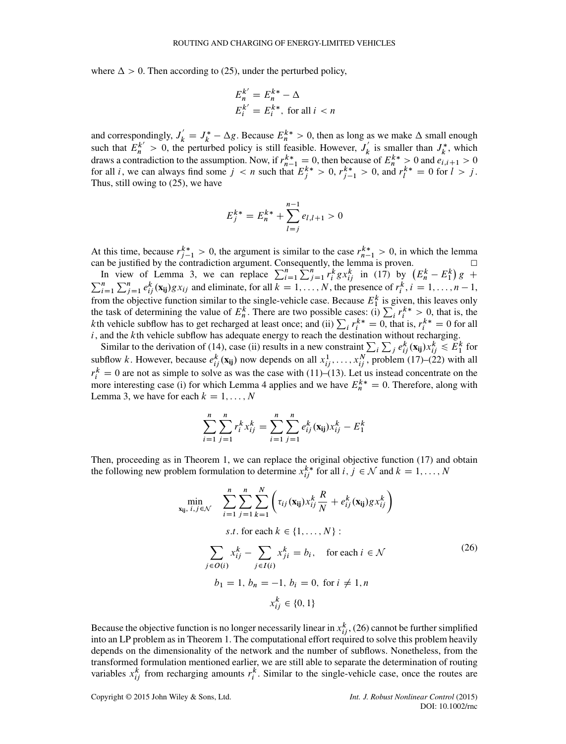where  $\Delta > 0$ . Then according to [\(25\)](#page-9-2), under the perturbed policy,

$$
E_n^{k'} = E_n^{k*} - \Delta
$$
  

$$
E_i^{k'} = E_i^{k*}, \text{ for all } i < n
$$

and correspondingly,  $J'_k = J^*_k - \Delta g$ . Because  $E_n^{k*} > 0$ , then as long as we make  $\Delta$  small enough such that  $E_n^{k'} > 0$ , the perturbed policy is still feasible. However,  $J'_k$  is smaller than  $J_k^*$ , which draws a contradiction to the assumption. Now, if  $r_{n-1}^{k*} = 0$ , then because of  $E_n^{k*} > 0$  and  $e_{i,i+1} > 0$ for all *i*, we can always find some  $j < n$  such that  $E_j^{k*} > 0$ ,  $r_{j-1}^{k*} > 0$ , and  $r_l^{k*} = 0$  for  $l > j$ . Thus, still owing to [\(25\)](#page-9-2), we have

$$
E_j^{k*} = E_n^{k*} + \sum_{l=j}^{n-1} e_{l,l+1} > 0
$$

At this time, because  $r_{j-1}^{k*} > 0$ , the argument is similar to the case  $r_{n-1}^{k*} > 0$ , in which the lemma

can be justified by the contradiction argument. Consequently, the lemma is proven.  $\Box$ <br>In view of Lemma [3,](#page-8-3) we can replace  $\sum_{i=1}^{n} \sum_{j=1}^{n} r_i^k g x_{ij}^k$  in [\(17\)](#page-8-4) by  $(E_n^k - E_1^k) g +$  $\frac{1}{g}$  +  $\sum_{i=1}^{n} \sum_{j=1}^{n} e_{ij}^{k}(\mathbf{x_{ij}}) g x_{ij}$  and eliminate, for all  $k = 1, ..., N$ , the presence of  $r_i^k$ ,  $i = 1, ..., n - 1$ , from the objective function similar to the single-vehicle case. Because  $E_1^k$  is given, this leaves only the task of determining the value of  $E_h^k$ . There are two possible cases: (i)  $\sum_i r_i^{k*} > 0$ , that is, the kth vehicle subflow has to get recharged at least once; and (ii)  $\sum_i r_i^{k*} = 0$ , that is,  $r_i^{k*} = 0$  for all i, and the kth vehicle subflow has adequate energy to reach the destination without recharging.

Similar to the derivation of [\(14\)](#page-5-1), case (ii) results in a new constraint  $\sum_i \sum_j e_{ij}^k(\mathbf{x_{ij}}) x_{ij}^k \le E_1^k$  for subflow k. However, because  $e_{ij}^k(\mathbf{x}_{ij})$  now depends on all  $x_{ij}^1, \ldots, x_{ij}^N$ , problem [\(17\)](#page-8-4)–[\(22\)](#page-8-1) with all  $r_i^k = 0$  are not as simple to solve as was the case with [\(11\)](#page-5-2)–[\(13\)](#page-5-3). Let us instead concentrate on the more interesting case (i) for which Lemma [4](#page-9-1) applies and we have  $E_n^{k*} = 0$ . Therefore, along with Lemma [3,](#page-8-3) we have for each  $k = 1, \ldots, N$ 

$$
\sum_{i=1}^{n} \sum_{j=1}^{n} r_i^k x_{ij}^k = \sum_{i=1}^{n} \sum_{j=1}^{n} e_{ij}^k(\mathbf{x}_{ij}) x_{ij}^k - E_1^k
$$

Then, proceeding as in Theorem [1,](#page-6-1) we can replace the original objective function [\(17\)](#page-8-4) and obtain the following new problem formulation to determine  $x_{ij}^{k*}$  for all  $i, j \in \mathcal{N}$  and  $k = 1, ..., N$ 

<span id="page-10-0"></span>
$$
\min_{\mathbf{x_{ij}}, i, j \in \mathcal{N}} \sum_{i=1}^{n} \sum_{j=1}^{n} \sum_{k=1}^{N} \left( \tau_{ij}(\mathbf{x_{ij}}) x_{ij}^{k} \frac{R}{N} + e_{ij}^{k}(\mathbf{x_{ij}}) g x_{ij}^{k} \right)
$$
  
s.t. for each  $k \in \{1, ..., N\}$ :  

$$
\sum_{j \in O(i)} x_{ij}^{k} - \sum_{j \in I(i)} x_{ji}^{k} = b_{i}, \text{ for each } i \in \mathcal{N}
$$
  

$$
b_{1} = 1, b_{n} = -1, b_{i} = 0, \text{ for } i \neq 1, n
$$
  

$$
x_{ij}^{k} \in \{0, 1\}
$$

Because the objective function is no longer necessarily linear in  $x_{ij}^k$ , [\(26\)](#page-10-0) cannot be further simplified into an LP problem as in Theorem [1.](#page-6-1) The computational effort required to solve this problem heavily depends on the dimensionality of the network and the number of subflows. Nonetheless, from the transformed formulation mentioned earlier, we are still able to separate the determination of routing variables  $x_{ij}^k$  from recharging amounts  $r_i^k$ . Similar to the single-vehicle case, once the routes are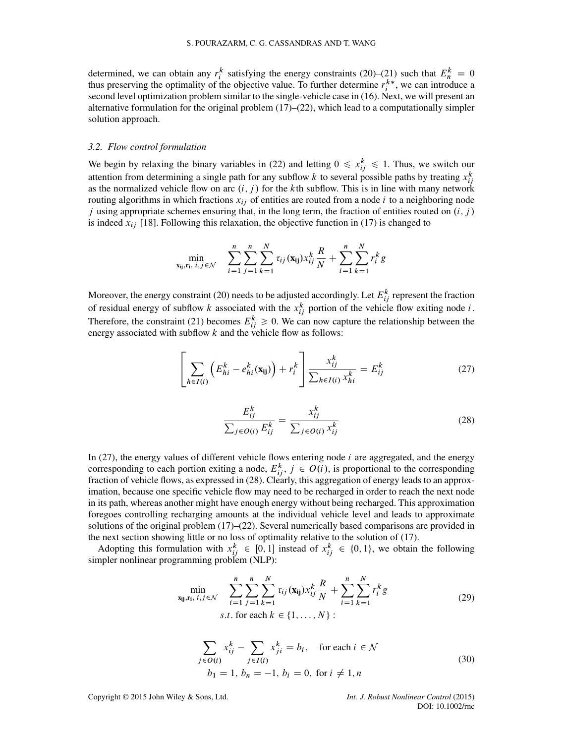determined, we can obtain any  $r_i^k$  satisfying the energy constraints [\(20\)](#page-8-2)–[\(21\)](#page-8-5) such that  $E_n^k = 0$ thus preserving the optimality of the objective value. To further determine  $r_i^{k*}$ , we can introduce a second level optimization problem similar to the single-vehicle case in [\(16\)](#page-7-1). Next, we will present an alternative formulation for the original problem  $(17)$ – $(22)$ , which lead to a computationally simpler solution approach.

#### *3.2. Flow control formulation*

We begin by relaxing the binary variables in [\(22\)](#page-8-1) and letting  $0 \leq x_{ij}^k \leq 1$ . Thus, we switch our attention from determining a single path for any subflow k to several possible paths by treating  $x_{ij}^k$ as the normalized vehicle flow on arc  $(i, j)$  for the kth subflow. This is in line with many network routing algorithms in which fractions  $x_{ij}$  of entities are routed from a node i to a neighboring node *j* using appropriate schemes ensuring that, in the long term, the fraction of entities routed on  $(i, j)$ is indeed  $x_{ij}$  [\[18\]](#page-25-15). Following this relaxation, the objective function in [\(17\)](#page-8-4) is changed to

$$
\min_{\mathbf{x_{ij}}, \mathbf{r_{i}}, \ i, j \in \mathcal{N}} \quad \sum_{i=1}^{n} \sum_{j=1}^{n} \sum_{k=1}^{N} \tau_{ij}(\mathbf{x_{ij}}) x_{ij}^{k} \frac{R}{N} + \sum_{i=1}^{n} \sum_{k=1}^{N} r_{i}^{k} g
$$

Moreover, the energy constraint [\(20\)](#page-8-2) needs to be adjusted accordingly. Let  $E_{ij}^k$  represent the fraction of residual energy of subflow k associated with the  $x_{ij}^k$  portion of the vehicle flow exiting node i. Therefore, the constraint [\(21\)](#page-8-5) becomes  $E_{ij}^k \geq 0$ . We can now capture the relationship between the energy associated with subflow  $k$  and the vehicle flow as follows:

<span id="page-11-0"></span>
$$
\left[\sum_{h\in I(i)} \left(E_{hi}^k - e_{hi}^k(\mathbf{x}_{ij})\right) + r_i^k\right] \frac{x_{ij}^k}{\sum_{h\in I(i)} x_{hi}^k} = E_{ij}^k \tag{27}
$$

<span id="page-11-1"></span>
$$
\frac{E_{ij}^k}{\sum_{j \in O(i)} E_{ij}^k} = \frac{x_{ij}^k}{\sum_{j \in O(i)} x_{ij}^k}
$$
(28)

In [\(27\)](#page-11-0), the energy values of different vehicle flows entering node  $i$  are aggregated, and the energy corresponding to each portion exiting a node,  $E_{ij}^k$ ,  $j \in O(i)$ , is proportional to the corresponding fraction of vehicle flows, as expressed in [\(28\)](#page-11-1). Clearly, this aggregation of energy leads to an approximation, because one specific vehicle flow may need to be recharged in order to reach the next node in its path, whereas another might have enough energy without being recharged. This approximation foregoes controlling recharging amounts at the individual vehicle level and leads to approximate solutions of the original problem  $(17)$ – $(22)$ . Several numerically based comparisons are provided in the next section showing little or no loss of optimality relative to the solution of [\(17\)](#page-8-4).

Adopting this formulation with  $x_{ij}^k \in [0, 1]$  instead of  $x_{ij}^k \in \{0, 1\}$ , we obtain the following simpler nonlinear programming problem (NLP):

<span id="page-11-2"></span>
$$
\min_{\mathbf{x_{ij}}, \mathbf{r_{i}}, \ i, j \in \mathcal{N}} \sum_{i=1}^{n} \sum_{j=1}^{n} \sum_{k=1}^{N} \tau_{ij}(\mathbf{x_{ij}}) x_{ij}^{k} \frac{R}{N} + \sum_{i=1}^{n} \sum_{k=1}^{N} r_{i}^{k} g
$$
\n(29)\n  
\n*s.t.* for each  $k \in \{1, ..., N\}$ :

<span id="page-11-3"></span>
$$
\sum_{j \in O(i)} x_{ij}^k - \sum_{j \in I(i)} x_{ji}^k = b_i, \quad \text{for each } i \in \mathcal{N}
$$
  
\n
$$
b_1 = 1, b_n = -1, b_i = 0, \text{ for } i \neq 1, n
$$
\n(30)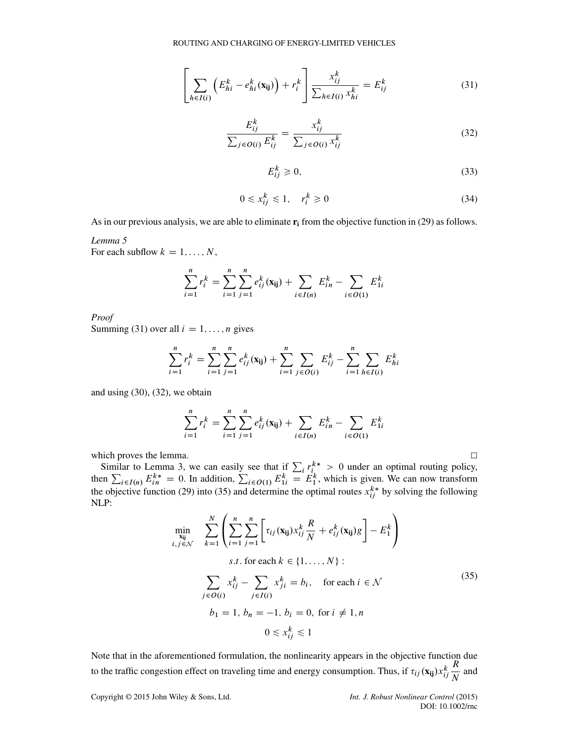<span id="page-12-0"></span>
$$
\left[\sum_{h\in I(i)} \left(E_{hi}^k - e_{hi}^k(\mathbf{x}_{ij})\right) + r_i^k\right] \frac{x_{ij}^k}{\sum_{h\in I(i)} x_{hi}^k} = E_{ij}^k \tag{31}
$$

<span id="page-12-1"></span>
$$
\frac{E_{ij}^k}{\sum_{j \in O(i)} E_{ij}^k} = \frac{x_{ij}^k}{\sum_{j \in O(i)} x_{ij}^k}
$$
(32)

<span id="page-12-3"></span>
$$
E_{ij}^k \ge 0,\tag{33}
$$

$$
0 \le x_{ij}^k \le 1, \quad r_i^k \ge 0 \tag{34}
$$

As in our previous analysis, we are able to eliminate **ri** from the objective function in [\(29\)](#page-11-2) as follows.

#### *Lemma 5*

For each subflow  $k = 1, \ldots, N$ ,

$$
\sum_{i=1}^{n} r_i^k = \sum_{i=1}^{n} \sum_{j=1}^{n} e_{ij}^k(\mathbf{x_{ij}}) + \sum_{i \in I(n)} E_{in}^k - \sum_{i \in O(1)} E_{1i}^k
$$

*Proof* Summing [\(31\)](#page-12-0) over all  $i = 1, \ldots, n$  gives

$$
\sum_{i=1}^{n} r_i^k = \sum_{i=1}^{n} \sum_{j=1}^{n} e_{ij}^k(\mathbf{x}_{ij}) + \sum_{i=1}^{n} \sum_{j \in O(i)} E_{ij}^k - \sum_{i=1}^{n} \sum_{h \in I(i)} E_{hi}^k
$$

and using [\(30\)](#page-11-3), [\(32\)](#page-12-1), we obtain

$$
\sum_{i=1}^{n} r_i^k = \sum_{i=1}^{n} \sum_{j=1}^{n} e_{ij}^k(\mathbf{x}_{ij}) + \sum_{i \in I(n)} E_{in}^k - \sum_{i \in O(1)} E_{1i}^k
$$

which proves the lemma.<br>
Similar to Lemma [3,](#page-8-3) we can easily see that if  $\sum_i r_i^{k*} > 0$  under an optimal routing policy,<br>
then  $\sum_{i \in I(n)} E_{in}^{k*} = 0$ . In addition,  $\sum_{i \in O(1)} E_{1i}^k = E_1^k$ , which is given. We can now trans the objective function [\(29\)](#page-11-2) into [\(35\)](#page-12-2) and determine the optimal routes  $x_{ij}^{k*}$  by solving the following NLP:

<span id="page-12-2"></span>
$$
\min_{\substack{\mathbf{x}_{ij} \\ \mathbf{x}_{ij}}} \sum_{k=1}^{N} \left( \sum_{i=1}^{n} \sum_{j=1}^{n} \left[ \tau_{ij}(\mathbf{x}_{ij}) x_{ij}^{k} \frac{R}{N} + e_{ij}^{k}(\mathbf{x}_{ij}) g \right] - E_{1}^{k} \right)
$$
\n*s.t.* for each  $k \in \{1, ..., N\}$ :  
\n
$$
\sum_{j \in O(i)} x_{ij}^{k} - \sum_{j \in I(i)} x_{ji}^{k} = b_{i}, \text{ for each } i \in \mathcal{N}
$$
\n
$$
b_{1} = 1, b_{n} = -1, b_{i} = 0, \text{ for } i \neq 1, n
$$
\n
$$
0 \leq x_{ij}^{k} \leq 1
$$
\n(35)

Note that in the aforementioned formulation, the nonlinearity appears in the objective function due to the traffic congestion effect on traveling time and energy consumption. Thus, if  $\tau_{ij}(\mathbf{x_{ij}}) x_{ij}^k$ R  $\frac{N}{N}$  and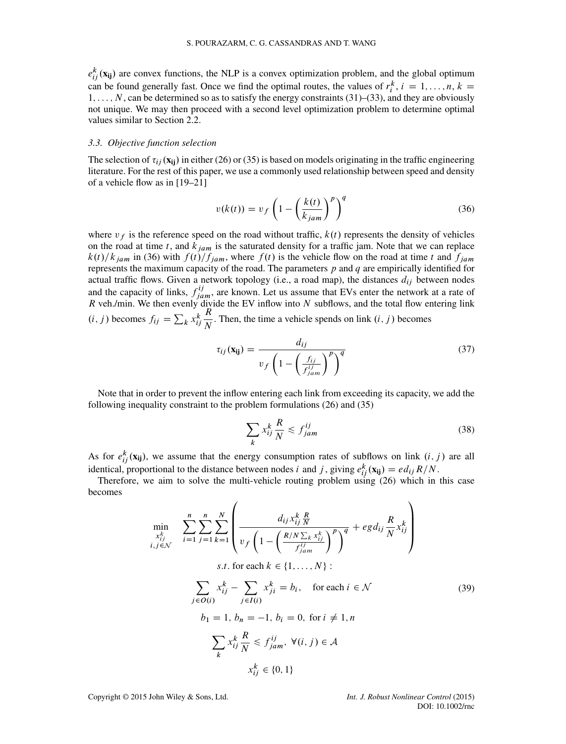$e_{ij}^k(\mathbf{x_{ij}})$  are convex functions, the NLP is a convex optimization problem, and the global optimum can be found generally fast. Once we find the optimal routes, the values of  $r_i^k$ ,  $i = 1, ..., n$ ,  $k =$  $1, \ldots, N$ , can be determined so as to satisfy the energy constraints [\(31\)](#page-12-0)–[\(33\)](#page-12-3), and they are obviously not unique. We may then proceed with a second level optimization problem to determine optimal values similar to Section [2.2.](#page-6-2)

#### <span id="page-13-0"></span>*3.3. Objective function selection*

The selection of  $\tau_{ij}$  ( $\bf{x}_{ij}$ ) in either [\(26\)](#page-10-0) or [\(35\)](#page-12-2) is based on models originating in the traffic engineering literature. For the rest of this paper, we use a commonly used relationship between speed and density of a vehicle flow as in [\[19–](#page-25-16)[21\]](#page-25-17)

<span id="page-13-1"></span>
$$
v(k(t)) = v_f \left( 1 - \left( \frac{k(t)}{k_{jam}} \right)^p \right)^q
$$
 (36)

where  $v_f$  is the reference speed on the road without traffic,  $k(t)$  represents the density of vehicles on the road at time t, and  $k<sub>jam</sub>$  is the saturated density for a traffic jam. Note that we can replace  $k(t)/k_{jam}$  in [\(36\)](#page-13-1) with  $f(t)/f_{jam}$ , where  $f(t)$  is the vehicle flow on the road at time t and  $f_{jam}$ represents the maximum capacity of the road. The parameters  $p$  and  $q$  are empirically identified for actual traffic flows. Given a network topology (i.e., a road map), the distances  $d_{ij}$  between nodes and the capacity of links,  $f_{jam}^{ij}$ , are known. Let us assume that EVs enter the network at a rate of R veh./min. We then evenly divide the EV inflow into  $N$  subflows, and the total flow entering link  $(i, j)$  becomes  $f_{ij} = \sum_k x_{ij}^k$  $\frac{R}{N}$ . Then, the time a vehicle spends on link  $(i, j)$  becomes

<span id="page-13-3"></span>
$$
\tau_{ij}(\mathbf{x}_{ij}) = \frac{d_{ij}}{v_f \left(1 - \left(\frac{f_{ij}}{f_{jam}^{ij}}\right)^p\right)^q}
$$
(37)

Note that in order to prevent the inflow entering each link from exceeding its capacity, we add the following inequality constraint to the problem formulations [\(26\)](#page-10-0) and [\(35\)](#page-12-2)

$$
\sum_{k} x_{ij}^{k} \frac{R}{N} \le f_{jam}^{ij} \tag{38}
$$

As for  $e_{ij}^k(\mathbf{x_{ij}})$ , we assume that the energy consumption rates of subflows on link  $(i, j)$  are all identical, proportional to the distance between nodes *i* and *j*, giving  $e_{ij}^k(\mathbf{x_{ij}}) = ed_{ij}R/N$ .

Therefore, we aim to solve the multi-vehicle routing problem using [\(26\)](#page-10-0) which in this case becomes

<span id="page-13-2"></span>
$$
\min_{\substack{x_{ij}^k \ j, j \in \mathcal{N}}} \sum_{i=1}^n \sum_{j=1}^n \sum_{k=1}^N \left( \frac{d_{ij} x_{ij}^k \frac{R}{N}}{v_f \left( 1 - \left( \frac{R/N \sum_k x_{ij}^k}{f_{jam}^{ij}} \right)^p \right)^q} + egd_{ij} \frac{R}{N} x_{ij}^k \right)
$$
\n*s.t.* for each  $k \in \{1, ..., N\}$ :  
\n
$$
\sum_{j \in O(i)} x_{ij}^k - \sum_{j \in I(i)} x_{ji}^k = b_i, \text{ for each } i \in \mathcal{N}
$$
\n
$$
b_1 = 1, b_n = -1, b_i = 0, \text{ for } i \neq 1, n
$$
\n
$$
\sum_{k} x_{ij}^k \frac{R}{N} \le f_{jam}^{ij}, \forall (i, j) \in \mathcal{A}
$$
\n
$$
x_{ij}^k \in \{0, 1\}
$$
\n(39)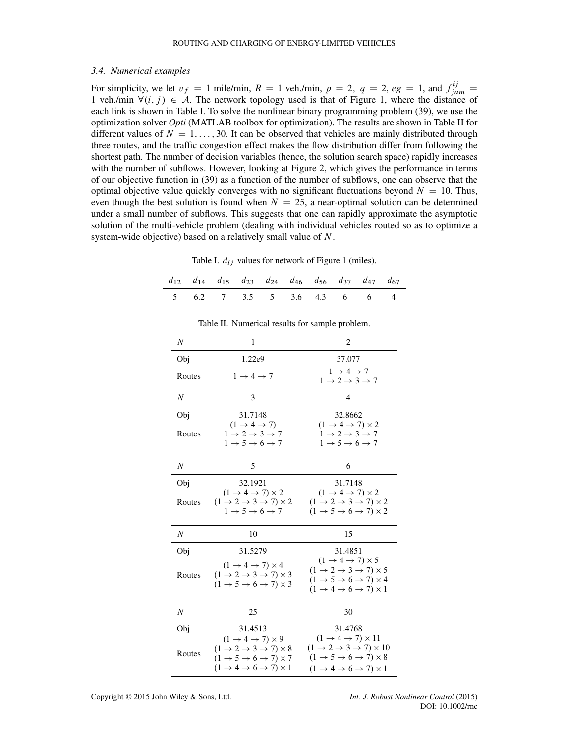#### <span id="page-14-2"></span>*3.4. Numerical examples*

For simplicity, we let  $v_f = 1$  mile/min,  $R = 1$  veh./min,  $p = 2$ ,  $q = 2$ ,  $eg = 1$ , and  $f_{jam}^{ij} =$ 1 veh./min  $\forall (i, j) \in \mathcal{A}$ . The network topology used is that of Figure [1,](#page-2-1) where the distance of each link is shown in Table [I.](#page-14-0) To solve the nonlinear binary programming problem [\(39\)](#page-13-2), we use the optimization solver *Opti* (MATLAB toolbox for optimization). The results are shown in Table [II](#page-14-1) for different values of  $N = 1, \ldots, 30$ . It can be observed that vehicles are mainly distributed through three routes, and the traffic congestion effect makes the flow distribution differ from following the shortest path. The number of decision variables (hence, the solution search space) rapidly increases with the number of subflows. However, looking at Figure [2,](#page-15-0) which gives the performance in terms of our objective function in [\(39\)](#page-13-2) as a function of the number of subflows, one can observe that the optimal objective value quickly converges with no significant fluctuations beyond  $N = 10$ . Thus, even though the best solution is found when  $N = 25$ , a near-optimal solution can be determined under a small number of subflows. This suggests that one can rapidly approximate the asymptotic solution of the multi-vehicle problem (dealing with individual vehicles routed so as to optimize a system-wide objective) based on a relatively small value of N.

<span id="page-14-0"></span>Table I.  $d_{ij}$  values for network of Figure [1](#page-2-1) (miles).

|  |  |                             |  | $d_{12}$ $d_{14}$ $d_{15}$ $d_{23}$ $d_{24}$ $d_{46}$ $d_{56}$ $d_{37}$ $d_{47}$ $d_{67}$ |
|--|--|-----------------------------|--|-------------------------------------------------------------------------------------------|
|  |  | 5 6.2 7 3.5 5 3.6 4.3 6 6 4 |  |                                                                                           |

| N                | 1                                                                                                                                                                                                                              | 2                                                                                                                                                                                                                                |
|------------------|--------------------------------------------------------------------------------------------------------------------------------------------------------------------------------------------------------------------------------|----------------------------------------------------------------------------------------------------------------------------------------------------------------------------------------------------------------------------------|
| Obj              | 1.22e9                                                                                                                                                                                                                         | 37.077                                                                                                                                                                                                                           |
| Routes           | $1 \rightarrow 4 \rightarrow 7$                                                                                                                                                                                                | $1 \rightarrow 4 \rightarrow 7$<br>$1 \rightarrow 2 \rightarrow 3 \rightarrow 7$                                                                                                                                                 |
| N                | 3                                                                                                                                                                                                                              | 4                                                                                                                                                                                                                                |
| Obj              | 31.7148<br>$(1 \rightarrow 4 \rightarrow 7)$                                                                                                                                                                                   | 32.8662<br>$(1 \rightarrow 4 \rightarrow 7) \times 2$                                                                                                                                                                            |
| Routes           | $1 \rightarrow 2 \rightarrow 3 \rightarrow 7$<br>$1 \rightarrow 5 \rightarrow 6 \rightarrow 7$                                                                                                                                 | $1 \rightarrow 2 \rightarrow 3 \rightarrow 7$<br>$1 \rightarrow 5 \rightarrow 6 \rightarrow 7$                                                                                                                                   |
| N                | 5                                                                                                                                                                                                                              | 6                                                                                                                                                                                                                                |
| Obj              | 32.1921                                                                                                                                                                                                                        | 31.7148                                                                                                                                                                                                                          |
| Routes           | $(1 \rightarrow 4 \rightarrow 7) \times 2$<br>$(1 \rightarrow 2 \rightarrow 3 \rightarrow 7) \times 2$<br>$1 \rightarrow 5 \rightarrow 6 \rightarrow 7$                                                                        | $(1 \rightarrow 4 \rightarrow 7) \times 2$<br>$(1 \rightarrow 2 \rightarrow 3 \rightarrow 7) \times 2$<br>$(1 \rightarrow 5 \rightarrow 6 \rightarrow 7) \times 2$                                                               |
| Ν                | 10                                                                                                                                                                                                                             | 15                                                                                                                                                                                                                               |
| Obj              | 31.5279                                                                                                                                                                                                                        | 31.4851                                                                                                                                                                                                                          |
| Routes           | $(1 \rightarrow 4 \rightarrow 7) \times 4$<br>$(1 \rightarrow 2 \rightarrow 3 \rightarrow 7) \times 3$<br>$(1 \rightarrow 5 \rightarrow 6 \rightarrow 7) \times 3$                                                             | $(1 \rightarrow 4 \rightarrow 7) \times 5$<br>$(1 \rightarrow 2 \rightarrow 3 \rightarrow 7) \times 5$<br>$(1 \rightarrow 5 \rightarrow 6 \rightarrow 7) \times 4$<br>$(1 \rightarrow 4 \rightarrow 6 \rightarrow 7) \times 1$   |
| $\boldsymbol{N}$ | 25                                                                                                                                                                                                                             | 30                                                                                                                                                                                                                               |
| Obj              | 31.4513                                                                                                                                                                                                                        | 31.4768                                                                                                                                                                                                                          |
| Routes           | $(1 \rightarrow 4 \rightarrow 7) \times 9$<br>$(1 \rightarrow 2 \rightarrow 3 \rightarrow 7) \times 8$<br>$(1 \rightarrow 5 \rightarrow 6 \rightarrow 7) \times 7$<br>$(1 \rightarrow 4 \rightarrow 6 \rightarrow 7) \times 1$ | $(1 \rightarrow 4 \rightarrow 7) \times 11$<br>$(1 \rightarrow 2 \rightarrow 3 \rightarrow 7) \times 10$<br>$(1 \rightarrow 5 \rightarrow 6 \rightarrow 7) \times 8$<br>$(1 \rightarrow 4 \rightarrow 6 \rightarrow 7) \times 1$ |

<span id="page-14-1"></span>Table II. Numerical results for sample problem.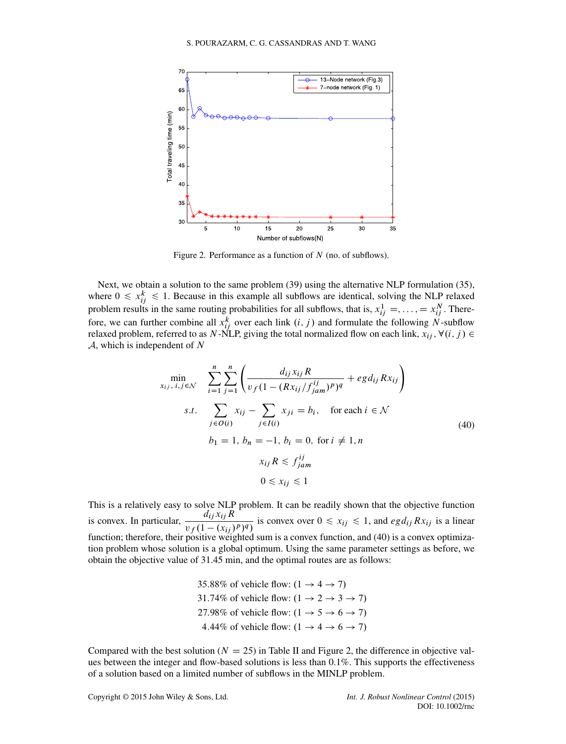

<span id="page-15-0"></span>Figure 2. Performance as a function of  $N$  (no. of subflows).

Next, we obtain a solution to the same problem [\(39\)](#page-13-2) using the alternative NLP formulation [\(35\)](#page-12-2), where  $0 \le x_{ij}^k \le 1$ . Because in this example all subflows are identical, solving the NLP relaxed problem results in the same routing probabilities for all subflows, that is,  $x_{ij}^1 = \ldots = x_{ij}^N$ . Therefore, we can further combine all  $x_{ij}^k$  over each link  $(i, j)$  and formulate the following N-subflow relaxed problem, referred to as N-NLP, giving the total normalized flow on each link,  $x_{ij}$  ,  $\forall (i, j) \in$  $A$ , which is independent of N

<span id="page-15-1"></span>
$$
\min_{x_{ij}, i, j \in \mathcal{N}} \quad \sum_{i=1}^{n} \sum_{j=1}^{n} \left( \frac{d_{ij} x_{ij} R}{v_f (1 - (Rx_{ij}/f_{jam}^{ij})^p)^q} + eg d_{ij} R x_{ij} \right)
$$
\n
$$
s.t. \quad \sum_{j \in O(i)} x_{ij} - \sum_{j \in I(i)} x_{ji} = b_i, \quad \text{for each } i \in \mathcal{N}
$$
\n
$$
b_1 = 1, b_n = -1, b_i = 0, \text{ for } i \neq 1, n
$$
\n
$$
x_{ij} R \le f_{jam}^{ij}
$$
\n
$$
0 \le x_{ij} \le 1
$$
\n(40)

This is a relatively easy to solve NLP problem. It can be readily shown that the objective function is convex. In particular,  $\frac{d_{ij}x_{ij}R}{\sqrt{1-\frac{1}{x_{ij}}}}$  $\frac{a_{ij}x_{ij}R}{v_f(1-(x_{ij})^p)^q}$  is convex over  $0 \le x_{ij} \le 1$ , and  $egd_{ij}Rx_{ij}$  is a linear function; therefore, their positive weighted sum is a convex function, and [\(40\)](#page-15-1) is a convex optimization problem whose solution is a global optimum. Using the same parameter settings as before, we obtain the objective value of 31.45 min, and the optimal routes are as follows:

> 35.88% of vehicle flow:  $(1 \rightarrow 4 \rightarrow 7)$ 31.74% of vehicle flow:  $(1 \rightarrow 2 \rightarrow 3 \rightarrow 7)$ 27.98% of vehicle flow:  $(1 \rightarrow 5 \rightarrow 6 \rightarrow 7)$ 4.44% of vehicle flow:  $(1 \rightarrow 4 \rightarrow 6 \rightarrow 7)$

Compared with the best solution ( $N = 25$ ) in Table [II](#page-14-1) and Figure [2,](#page-15-0) the difference in objective values between the integer and flow-based solutions is less than 0.1%. This supports the effectiveness of a solution based on a limited number of subflows in the MINLP problem.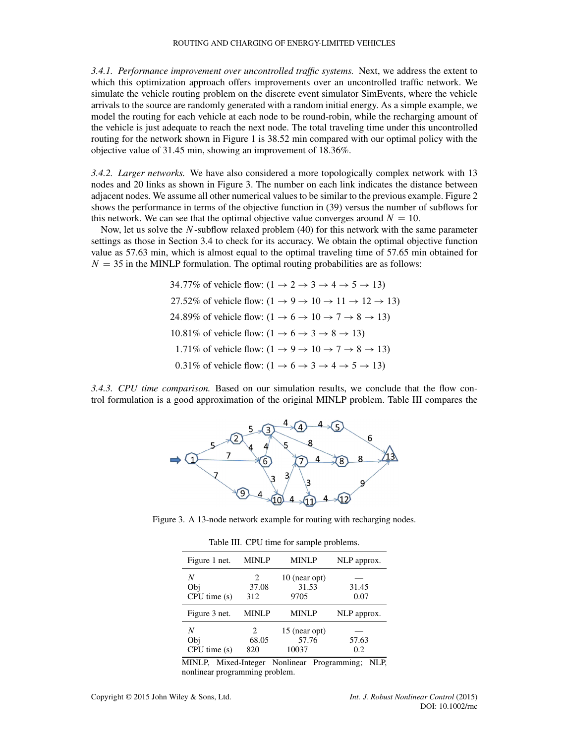#### ROUTING AND CHARGING OF ENERGY-LIMITED VEHICLES

*3.4.1. Performance improvement over uncontrolled traffic systems.* Next, we address the extent to which this optimization approach offers improvements over an uncontrolled traffic network. We simulate the vehicle routing problem on the discrete event simulator SimEvents, where the vehicle arrivals to the source are randomly generated with a random initial energy. As a simple example, we model the routing for each vehicle at each node to be round-robin, while the recharging amount of the vehicle is just adequate to reach the next node. The total traveling time under this uncontrolled routing for the network shown in Figure [1](#page-2-1) is 38.52 min compared with our optimal policy with the objective value of 31.45 min, showing an improvement of 18.36%.

*3.4.2. Larger networks.* We have also considered a more topologically complex network with 13 nodes and 20 links as shown in Figure [3.](#page-16-0) The number on each link indicates the distance between adjacent nodes. We assume all other numerical values to be similar to the previous example. Figure [2](#page-15-0) shows the performance in terms of the objective function in [\(39\)](#page-13-2) versus the number of subflows for this network. We can see that the optimal objective value converges around  $N = 10$ .

Now, let us solve the  $N$ -subflow relaxed problem [\(40\)](#page-15-1) for this network with the same parameter settings as those in Section [3.4](#page-14-2) to check for its accuracy. We obtain the optimal objective function value as 57.63 min, which is almost equal to the optimal traveling time of 57.65 min obtained for  $N = 35$  in the MINLP formulation. The optimal routing probabilities are as follows:

> 34.77% of vehicle flow:  $(1 \rightarrow 2 \rightarrow 3 \rightarrow 4 \rightarrow 5 \rightarrow 13)$ 27.52% of vehicle flow:  $(1 \rightarrow 9 \rightarrow 10 \rightarrow 11 \rightarrow 12 \rightarrow 13)$ 24.89% of vehicle flow:  $(1 \rightarrow 6 \rightarrow 10 \rightarrow 7 \rightarrow 8 \rightarrow 13)$ 10.81% of vehicle flow:  $(1 \rightarrow 6 \rightarrow 3 \rightarrow 8 \rightarrow 13)$ 1.71% of vehicle flow:  $(1 \rightarrow 9 \rightarrow 10 \rightarrow 7 \rightarrow 8 \rightarrow 13)$ 0.31% of vehicle flow:  $(1 \rightarrow 6 \rightarrow 3 \rightarrow 4 \rightarrow 5 \rightarrow 13)$

*3.4.3. CPU time comparison.* Based on our simulation results, we conclude that the flow control formulation is a good approximation of the original MINLP problem. Table [III](#page-16-1) compares the



Figure 3. A 13-node network example for routing with recharging nodes.

<span id="page-16-1"></span><span id="page-16-0"></span>Table III. CPU time for sample problems.

| Figure 1 net.           | <b>MINLP</b>                          | <b>MINLP</b>                    | NLP approx.   |
|-------------------------|---------------------------------------|---------------------------------|---------------|
| N<br>Obj<br>CPU time(s) | $\mathcal{D}_{\cdot}$<br>37.08<br>312 | 10 (near opt)<br>31.53<br>9705  | 31.45<br>0.07 |
| Figure 3 net.           | <b>MINLP</b>                          | <b>MINLP</b>                    | NLP approx.   |
| N<br>Obj<br>CPU time(s) | 2<br>68.05<br>820                     | 15 (near opt)<br>57.76<br>10037 | 57.63<br>0.2  |

MINLP, Mixed-Integer Nonlinear Programming; NLP, nonlinear programming problem.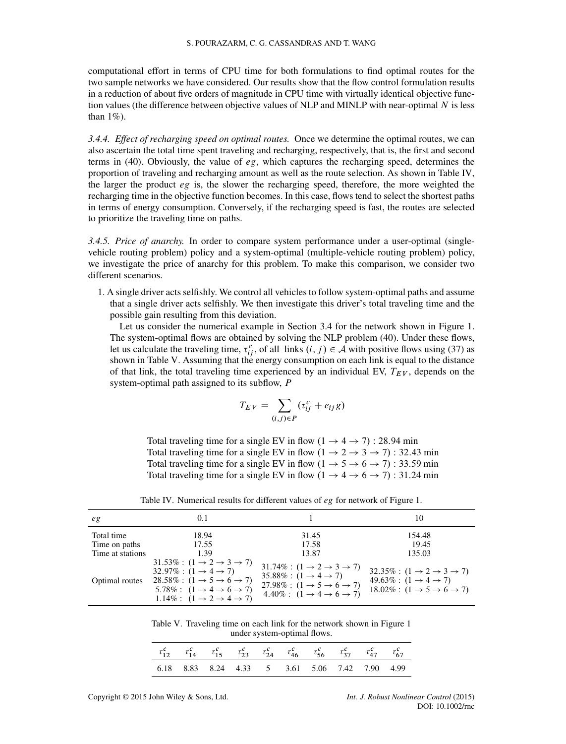computational effort in terms of CPU time for both formulations to find optimal routes for the two sample networks we have considered. Our results show that the flow control formulation results in a reduction of about five orders of magnitude in CPU time with virtually identical objective function values (the difference between objective values of NLP and MINLP with near-optimal N is less than  $1\%$ ).

*3.4.4. Effect of recharging speed on optimal routes.* Once we determine the optimal routes, we can also ascertain the total time spent traveling and recharging, respectively, that is, the first and second terms in [\(40\)](#page-15-1). Obviously, the value of  $eg$ , which captures the recharging speed, determines the proportion of traveling and recharging amount as well as the route selection. As shown in Table [IV,](#page-17-0) the larger the product  $eg$  is, the slower the recharging speed, therefore, the more weighted the recharging time in the objective function becomes. In this case, flows tend to select the shortest paths in terms of energy consumption. Conversely, if the recharging speed is fast, the routes are selected to prioritize the traveling time on paths.

*3.4.5. Price of anarchy.* In order to compare system performance under a user-optimal (singlevehicle routing problem) policy and a system-optimal (multiple-vehicle routing problem) policy, we investigate the price of anarchy for this problem. To make this comparison, we consider two different scenarios.

1. A single driver acts selfishly. We control all vehicles to follow system-optimal paths and assume that a single driver acts selfishly. We then investigate this driver's total traveling time and the possible gain resulting from this deviation.

Let us consider the numerical example in Section [3.4](#page-14-2) for the network shown in Figure [1.](#page-2-1) The system-optimal flows are obtained by solving the NLP problem [\(40\)](#page-15-1). Under these flows, let us calculate the traveling time,  $\tau_{ij}^c$ , of all links  $(i, j) \in A$  with positive flows using [\(37\)](#page-13-3) as shown in Table [V.](#page-17-1) Assuming that the energy consumption on each link is equal to the distance of that link, the total traveling time experienced by an individual EV,  $T_{EV}$ , depends on the system-optimal path assigned to its subflow, P

$$
T_{EV} = \sum_{(i,j)\in P} (\tau_{ij}^c + e_{ij}g)
$$

Total traveling time for a single EV in flow  $(1 \rightarrow 4 \rightarrow 7)$ : 28.94 min Total traveling time for a single EV in flow  $(1 \rightarrow 2 \rightarrow 3 \rightarrow 7)$ : 32.43 min Total traveling time for a single EV in flow  $(1 \rightarrow 5 \rightarrow 6 \rightarrow 7)$ : 33.59 min Total traveling time for a single EV in flow  $(1 \rightarrow 4 \rightarrow 6 \rightarrow 7)$ : 31.24 min

| eg                                              | 0.1                                                                                                                                                                                                                                                                                                   |                                                                                                                                                                                                                                         | 10                                                                                                                                                                        |
|-------------------------------------------------|-------------------------------------------------------------------------------------------------------------------------------------------------------------------------------------------------------------------------------------------------------------------------------------------------------|-----------------------------------------------------------------------------------------------------------------------------------------------------------------------------------------------------------------------------------------|---------------------------------------------------------------------------------------------------------------------------------------------------------------------------|
| Total time<br>Time on paths<br>Time at stations | 18.94<br>17.55<br>1.39                                                                                                                                                                                                                                                                                | 31.45<br>17.58<br>13.87                                                                                                                                                                                                                 | 154.48<br>19.45<br>135.03                                                                                                                                                 |
| Optimal routes                                  | $31.53\%$ : $(1 \rightarrow 2 \rightarrow 3 \rightarrow 7)$<br>$32.97\%$ : $(1 \rightarrow 4 \rightarrow 7)$<br>$28.58\%$ : $(1 \rightarrow 5 \rightarrow 6 \rightarrow 7)$<br>$5.78\%$ : $(1 \rightarrow 4 \rightarrow 6 \rightarrow 7)$<br>1.14\% : $(1 \rightarrow 2 \rightarrow 4 \rightarrow 7)$ | $31.74\%$ : $(1 \rightarrow 2 \rightarrow 3 \rightarrow 7)$<br>$35.88\% : (1 \rightarrow 4 \rightarrow 7)$<br>$27.98\%$ : $(1 \rightarrow 5 \rightarrow 6 \rightarrow 7)$<br>$4.40\%$ : $(1 \rightarrow 4 \rightarrow 6 \rightarrow 7)$ | $32.35\% : (1 \rightarrow 2 \rightarrow 3 \rightarrow 7)$<br>$49.63\%$ : $(1 \rightarrow 4 \rightarrow 7)$<br>$18.02\%$ : $(1 \rightarrow 5 \rightarrow 6 \rightarrow 7)$ |

<span id="page-17-0"></span>Table IV. Numerical results for different values of eg for network of Figure [1.](#page-2-1)

<span id="page-17-1"></span>Table V. Traveling time on each link for the network shown in Figure [1](#page-2-1) under system-optimal flows.

| $\tau^c_{12}$ $\tau^c_{14}$ $\tau^c_{15}$ $\tau^c_{23}$ $\tau^c_{24}$ $\tau^c_{46}$ $\tau^c_{56}$ $\tau^c_{37}$ $\tau^c_{47}$ $\tau^c_{67}$ |  |  |  |  |  |
|---------------------------------------------------------------------------------------------------------------------------------------------|--|--|--|--|--|
| 6.18 8.83 8.24 4.33 5 3.61 5.06 7.42 7.90 4.99                                                                                              |  |  |  |  |  |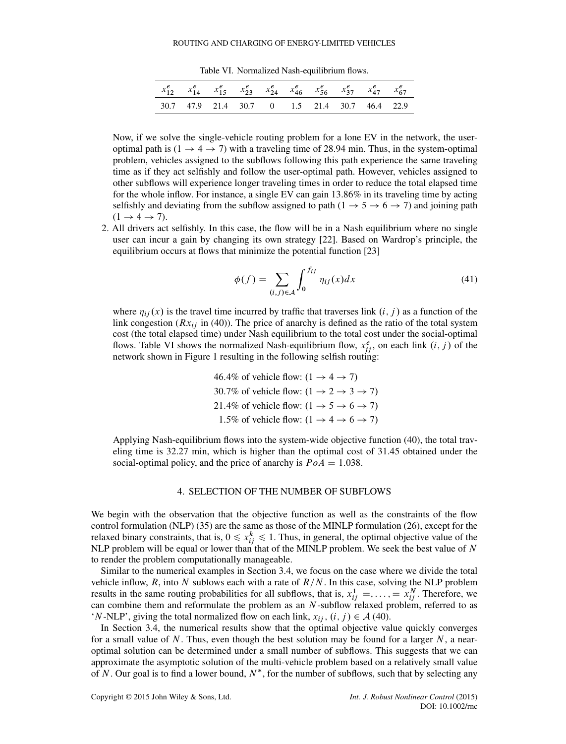<span id="page-18-1"></span>Table VI. Normalized Nash-equilibrium flows.

| $x_{12}^e$ $x_{14}^e$ $x_{15}^e$ $x_{23}^e$ $x_{24}^e$ $x_{46}^e$ $x_{56}^e$ $x_{37}^e$ $x_{47}^e$ $x_{67}^e$ |  |  |  |  |
|---------------------------------------------------------------------------------------------------------------|--|--|--|--|
| 30.7 47.9 21.4 30.7 0 1.5 21.4 30.7 46.4 22.9                                                                 |  |  |  |  |

Now, if we solve the single-vehicle routing problem for a lone EV in the network, the useroptimal path is  $(1 \rightarrow 4 \rightarrow 7)$  with a traveling time of 28.94 min. Thus, in the system-optimal problem, vehicles assigned to the subflows following this path experience the same traveling time as if they act selfishly and follow the user-optimal path. However, vehicles assigned to other subflows will experience longer traveling times in order to reduce the total elapsed time for the whole inflow. For instance, a single EV can gain 13.86% in its traveling time by acting selfishly and deviating from the subflow assigned to path  $(1 \rightarrow 5 \rightarrow 6 \rightarrow 7)$  and joining path  $(1 \rightarrow 4 \rightarrow 7)$ .

2. All drivers act selfishly. In this case, the flow will be in a Nash equilibrium where no single user can incur a gain by changing its own strategy [\[22\]](#page-25-18). Based on Wardrop's principle, the equilibrium occurs at flows that minimize the potential function [\[23\]](#page-25-19)

$$
\phi(f) = \sum_{(i,j)\in\mathcal{A}} \int_0^{f_{ij}} \eta_{ij}(x) dx \tag{41}
$$

where  $\eta_{ii}(x)$  is the travel time incurred by traffic that traverses link  $(i, j)$  as a function of the link congestion  $(Rx_{ij}$  in [\(40\)](#page-15-1)). The price of anarchy is defined as the ratio of the total system cost (the total elapsed time) under Nash equilibrium to the total cost under the social-optimal flows. Table [VI](#page-18-1) shows the normalized Nash-equilibrium flow,  $x_{ij}^e$ , on each link  $(i, j)$  of the network shown in Figure [1](#page-2-1) resulting in the following selfish routing:

46.4% of vehicle flow: 
$$
(1 \rightarrow 4 \rightarrow 7)
$$
  
30.7% of vehicle flow:  $(1 \rightarrow 2 \rightarrow 3 \rightarrow 7)$   
21.4% of vehicle flow:  $(1 \rightarrow 5 \rightarrow 6 \rightarrow 7)$   
1.5% of vehicle flow:  $(1 \rightarrow 4 \rightarrow 6 \rightarrow 7)$ 

Applying Nash-equilibrium flows into the system-wide objective function [\(40\)](#page-15-1), the total traveling time is 32.27 min, which is higher than the optimal cost of 31.45 obtained under the social-optimal policy, and the price of anarchy is  $PoA = 1.038$ .

## 4. SELECTION OF THE NUMBER OF SUBFLOWS

<span id="page-18-0"></span>We begin with the observation that the objective function as well as the constraints of the flow control formulation (NLP) [\(35\)](#page-12-2) are the same as those of the MINLP formulation [\(26\)](#page-10-0), except for the relaxed binary constraints, that is,  $0 \le x_{ij}^k \le 1$ . Thus, in general, the optimal objective value of the NLP problem will be equal or lower than that of the MINLP problem. We seek the best value of  $N$ to render the problem computationally manageable.

Similar to the numerical examples in Section [3.4,](#page-14-2) we focus on the case where we divide the total vehicle inflow, R, into N sublows each with a rate of  $R/N$ . In this case, solving the NLP problem results in the same routing probabilities for all subflows, that is,  $x_{ij}^1 = \ldots = x_{ij}^N$ . Therefore, we can combine them and reformulate the problem as an  $N$ -subflow relaxed problem, referred to as 'N-NLP', giving the total normalized flow on each link,  $x_{ii}$ ,  $(i, j) \in \mathcal{A}$  [\(40\)](#page-15-1).

In Section [3.4,](#page-14-2) the numerical results show that the optimal objective value quickly converges for a small value of N. Thus, even though the best solution may be found for a larger  $N$ , a nearoptimal solution can be determined under a small number of subflows. This suggests that we can approximate the asymptotic solution of the multi-vehicle problem based on a relatively small value of N. Our goal is to find a lower bound,  $N^*$ , for the number of subflows, such that by selecting any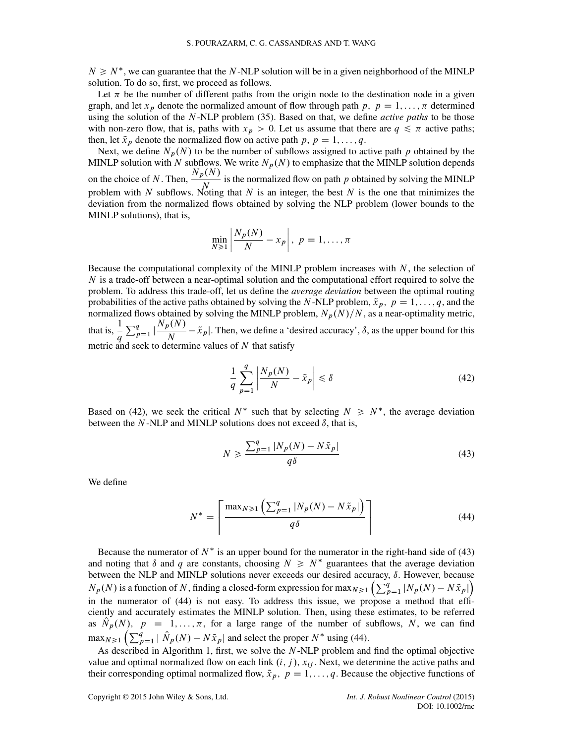$N \geq N^*$ , we can guarantee that the N-NLP solution will be in a given neighborhood of the MINLP solution. To do so, first, we proceed as follows.

Let  $\pi$  be the number of different paths from the origin node to the destination node in a given graph, and let  $x_p$  denote the normalized amount of flow through path p;  $p = 1, \ldots, \pi$  determined using the solution of the N-NLP problem [\(35\)](#page-12-2). Based on that, we define *active paths* to be those with non-zero flow, that is, paths with  $x_p > 0$ . Let us assume that there are  $q \leq \pi$  active paths; then, let  $\tilde{x}_p$  denote the normalized flow on active path p,  $p = 1, \ldots, q$ .

Next, we define  $N_p(N)$  to be the number of subflows assigned to active path p obtained by the MINLP solution with N subflows. We write  $N_p(N)$  to emphasize that the MINLP solution depends on the choice of N. Then,  $\frac{N_p(N)}{N}$  is the normalized flow on path p obtained by solving the MINLP problem with N subflows. Noting that N is an integer, the best N is the one that minimizes the deviation from the normalized flows obtained by solving the NLP problem (lower bounds to the MINLP solutions), that is,

$$
\min_{N\geq 1} \left| \frac{N_p(N)}{N} - x_p \right|, \ p = 1, \dots, \pi
$$

Because the computational complexity of the MINLP problem increases with  $N$ , the selection of N is a trade-off between a near-optimal solution and the computational effort required to solve the problem. To address this trade-off, let us define the *average deviation* between the optimal routing probabilities of the active paths obtained by solving the N-NLP problem,  $\tilde{x}_p$ ,  $p = 1, \ldots, q$ , and the normalized flows obtained by solving the MINLP problem,  $N_p(N)/N$ , as a near-optimality metric, that is,  $\frac{1}{1}$ q  $\sum_{p=1}^{q} \left| \frac{N_p(N)}{N} \right|$  $\frac{\partial x}{\partial N} - \tilde{x}_p$ . Then, we define a 'desired accuracy',  $\delta$ , as the upper bound for this metric and seek to determine values of  $N$  that satisfy

<span id="page-19-0"></span>
$$
\frac{1}{q} \sum_{p=1}^{q} \left| \frac{N_p(N)}{N} - \tilde{x}_p \right| \le \delta \tag{42}
$$

Based on [\(42\)](#page-19-0), we seek the critical  $N^*$  such that by selecting  $N \ge N^*$ , the average deviation between the N-NLP and MINLP solutions does not exceed  $\delta$ , that is,

<span id="page-19-1"></span>
$$
N \ge \frac{\sum_{p=1}^{q} |N_p(N) - N\tilde{x}_p|}{q\delta} \tag{43}
$$

We define

<span id="page-19-2"></span>
$$
N^* = \left\lceil \frac{\max_{N \ge 1} \left( \sum_{p=1}^q |N_p(N) - N\tilde{x}_p| \right)}{q\delta} \right\rceil \tag{44}
$$

Because the numerator of  $N^*$  is an upper bound for the numerator in the right-hand side of [\(43\)](#page-19-1) and noting that  $\delta$  and  $q$  are constants, choosing  $N \geq N^*$  guarantees that the average deviation between the NLP and MINLP solutions never exceeds our desired accuracy,  $\delta$ . However, because  $N_p(N)$  is a function of N, finding a closed-form expression for max $N \ge 1$   $\left(\sum_{p=1}^q |N_p(N) - N\tilde{x}_p|\right)$ in the numerator of [\(44\)](#page-19-2) is not easy. To address this issue, we propose a method that efficiently and accurately estimates the MINLP solution. Then, using these estimates, to be referred as  $N_p(N)$ ,  $p = 1, ..., \pi$ , for a large range of the number of subflows, N, we can find  $\max_{N \geq 1} \left( \sum_{p=1}^{q} |\hat{N}_p(N) - N\tilde{x}_p| \right)$  and select the proper  $N^*$  using [\(44\)](#page-19-2).

As described in Algorithm [1,](#page-20-0) first, we solve the  $N$ -NLP problem and find the optimal objective value and optimal normalized flow on each link  $(i, j)$ ,  $x_{ij}$ . Next, we determine the active paths and their corresponding optimal normalized flow,  $\tilde{x}_p$ ,  $p = 1, \ldots, q$ . Because the objective functions of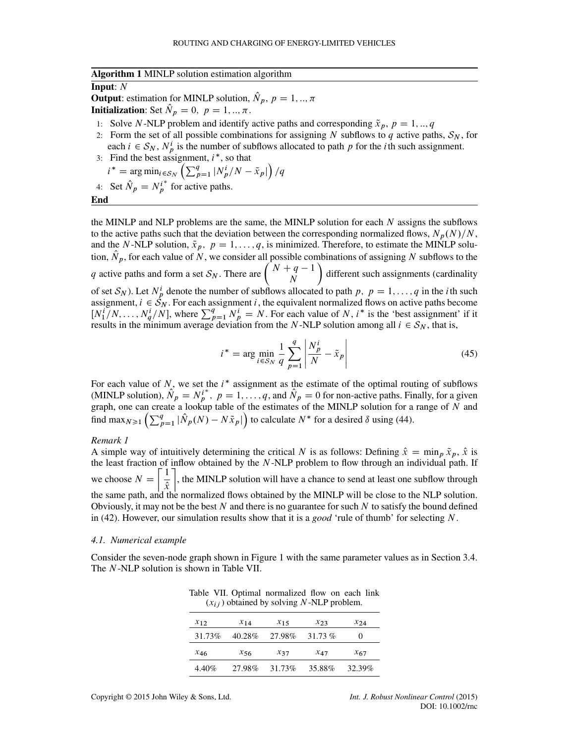#### <span id="page-20-0"></span>**Algorithm 1** MINLP solution estimation algorithm

#### **Input**: N

**Output:** estimation for MINLP solution,  $\hat{N}_p$ ,  $p = 1, \dots, \pi$ **Initialization:** Set  $\hat{N}_p = 0$ ,  $p = 1, \dots, \pi$ .

- 1: Solve N-NLP problem and identify active paths and corresponding  $\tilde{x}_p$ ,  $p = 1, ..., q$
- 2: Form the set of all possible combinations for assigning N subflows to q active paths,  $S_N$ , for each  $i \in S_N$ ,  $N_p^i$  is the number of subflows allocated to path p for the *i*th such assignment.
- 3: Find the best assignment,  $i^*$ , so that  $i^* = \arg \min_{i \in S_N}$  $\left(\sum_{p=1}^{q} |N_p^i/N - \tilde{x}_p|\right)$  $\overline{ }$  $\sqrt{q}$
- 4: Set  $\hat{N}_p = N_p^{i^*}$  for active paths.

**End**

the MINLP and NLP problems are the same, the MINLP solution for each N assigns the subflows to the active paths such that the deviation between the corresponding normalized flows,  $N_p(N)/N$ , and the N-NLP solution,  $\tilde{x}_p$ ,  $p = 1, \ldots, q$ , is minimized. Therefore, to estimate the MINLP solution,  $\hat{N}_p$ , for each value of N, we consider all possible combinations of assigning N subflows to the q active paths and form a set  $S_N$ . There are  $\begin{pmatrix} N+q-1 \\ N \end{pmatrix}$ N ™<br>∖ different such assignments (cardinality of set  $S_N$ ). Let  $N_p^i$  denote the number of subflows allocated to path  $p, p = 1, ..., q$  in the *i*th such assignment,  $i \in S_N$ . For each assignment i, the equivalent normalized flows on active paths become  $[N_1^i/N, \ldots, N_q^i/N]$ , where  $\sum_{p=1}^q N_p^i = N$ . For each value of N, i<sup>\*</sup> is the 'best assignment' if it results in the minimum average deviation from the N-NLP solution among all  $i \in S_N$ , that is,

$$
i^* = \arg\min_{i \in S_N} \frac{1}{q} \sum_{p=1}^q \left| \frac{N_p^i}{N} - \tilde{x}_p \right| \tag{45}
$$

For each value of  $N$ , we set the  $i^*$  assignment as the estimate of the optimal routing of subflows (MINLP solution),  $\hat{N}_p = N_p^{i^*}, p = 1, ..., q$ , and  $\hat{N}_p = 0$  for non-active paths. Finally, for a given graph, one can create a lookup table of the estimates of the MINLP solution for a range of N and<br>find max  $\left(\sum_{i=1}^{q} | \hat{N}(N) - N\tilde{z}| \right)$  to calculate  $N^*$  for a decired  $\hat{s}$  using (44) find max $_{N\geq 1}$   $\left(\sum_{p=1}^{q} |\hat{N}_p(N) - N\tilde{x}_p| \right)$  to calculate  $N^*$  for a desired  $\delta$  using [\(44\)](#page-19-2).

## <span id="page-20-2"></span>*Remark 1*

A simple way of intuitively determining the critical N is as follows: Defining  $\hat{x} = \min_p \tilde{x}_p$ ,  $\hat{x}$  is the least fraction of inflow obtained by the N-NLP problem to flow through an individual path. If we choose  $N =$  $\lceil 1 \rceil$  $\hat{x}$ יי.<br>ד , the MINLP solution will have a chance to send at least one subflow through the same path, and the normalized flows obtained by the MINLP will be close to the NLP solution. Obviously, it may not be the best  $N$  and there is no guarantee for such  $N$  to satisfy the bound defined in [\(42\)](#page-19-0). However, our simulation results show that it is a *good* 'rule of thumb' for selecting N.

## *4.1. Numerical example*

Consider the seven-node graph shown in Figure [1](#page-2-1) with the same parameter values as in Section [3.4.](#page-14-2) The N-NLP solution is shown in Table [VII.](#page-20-1)

<span id="page-20-1"></span>

| $(x_{ij})$ obtained by solving <i>i</i> $\overline{y}$ -iver problem. |          |          |           |           |  |
|-----------------------------------------------------------------------|----------|----------|-----------|-----------|--|
| $x_{12}$                                                              | $x_{14}$ | $x_{15}$ | $x_{23}$  | $x_{2,4}$ |  |
| 31.73%                                                                | 40.28%   | 27.98%   | $31.73\%$ | $\theta$  |  |
| X46                                                                   | $x_{56}$ | $x_{37}$ | X47       | $x_{67}$  |  |
| 4.40%                                                                 | 27.98%   | 31.73%   | 35.88%    | 32.39%    |  |

Table VII. Optimal normalized flow on each link  $(x, \cdot)$  obtained by solving N-NLP problem.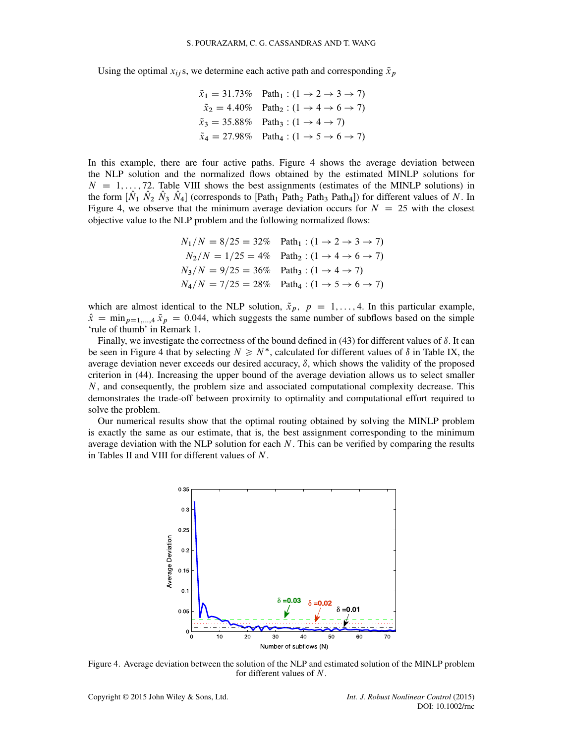Using the optimal  $x_{ij}$ s, we determine each active path and corresponding  $\tilde{x}_p$ 

$$
\tilde{x}_1 = 31.73\%
$$
 Path<sub>1</sub> :  $(1 \rightarrow 2 \rightarrow 3 \rightarrow 7)$   
\n $\tilde{x}_2 = 4.40\%$  Path<sub>2</sub> :  $(1 \rightarrow 4 \rightarrow 6 \rightarrow 7)$   
\n $\tilde{x}_3 = 35.88\%$  Path<sub>3</sub> :  $(1 \rightarrow 4 \rightarrow 7)$   
\n $\tilde{x}_4 = 27.98\%$  Path<sub>4</sub> :  $(1 \rightarrow 5 \rightarrow 6 \rightarrow 7)$ 

In this example, there are four active paths. Figure [4](#page-21-0) shows the average deviation between the NLP solution and the normalized flows obtained by the estimated MINLP solutions for  $N = 1, \ldots, 72$ . Table [VIII](#page-22-1) shows the best assignments (estimates of the MINLP solutions) in the form  $[\hat{N}_1 \hat{N}_2 \hat{N}_3 \hat{N}_4]$  (corresponds to  $[\text{Path}_1 \text{ Path}_2 \text{ Path}_3 \text{ Path}_4]$ ) for different values of N. In Figure [4,](#page-21-0) we observe that the minimum average deviation occurs for  $N = 25$  with the closest objective value to the NLP problem and the following normalized flows:

$$
N_1/N = 8/25 = 32\%
$$
 Path<sub>1</sub> :  $(1 \rightarrow 2 \rightarrow 3 \rightarrow 7)$   
\n
$$
N_2/N = 1/25 = 4\%
$$
 Path<sub>2</sub> :  $(1 \rightarrow 4 \rightarrow 6 \rightarrow 7)$   
\n
$$
N_3/N = 9/25 = 36\%
$$
 Path<sub>3</sub> :  $(1 \rightarrow 4 \rightarrow 7)$   
\n
$$
N_4/N = 7/25 = 28\%
$$
 Path<sub>4</sub> :  $(1 \rightarrow 5 \rightarrow 6 \rightarrow 7)$ 

which are almost identical to the NLP solution,  $\tilde{x}_p$ ,  $p = 1, \ldots, 4$ . In this particular example,  $\hat{x} = \min_{p=1,\dots,4} \tilde{x}_p = 0.044$ , which suggests the same number of subflows based on the simple 'rule of thumb' in Remark [1.](#page-20-2)

Finally, we investigate the correctness of the bound defined in  $(43)$  for different values of  $\delta$ . It can be seen in Figure [4](#page-21-0) that by selecting  $N \geq N^*$ , calculated for different values of  $\delta$  in Table [IX,](#page-22-2) the average deviation never exceeds our desired accuracy,  $\delta$ , which shows the validity of the proposed criterion in [\(44\)](#page-19-2). Increasing the upper bound of the average deviation allows us to select smaller  $N$ , and consequently, the problem size and associated computational complexity decrease. This demonstrates the trade-off between proximity to optimality and computational effort required to solve the problem.

Our numerical results show that the optimal routing obtained by solving the MINLP problem is exactly the same as our estimate, that is, the best assignment corresponding to the minimum average deviation with the NLP solution for each  $N$ . This can be verified by comparing the results in Tables [II](#page-14-1) and [VIII](#page-22-1) for different values of N.



<span id="page-21-0"></span>Figure 4. Average deviation between the solution of the NLP and estimated solution of the MINLP problem for different values of N.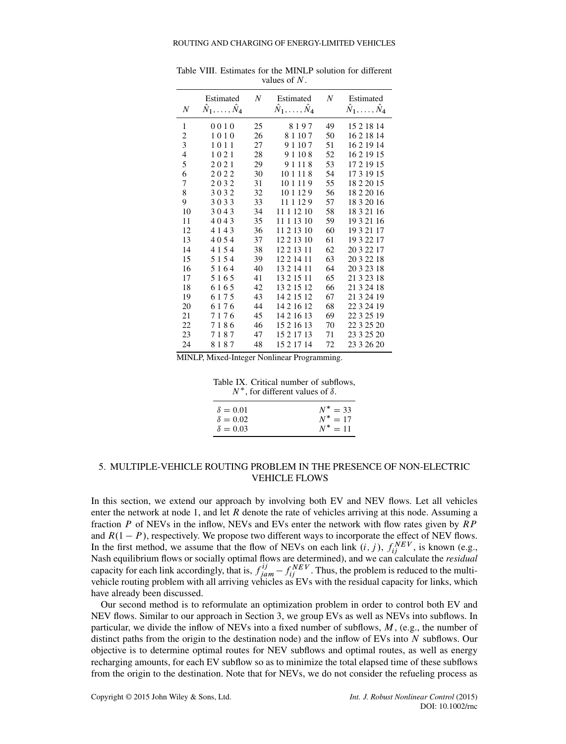<span id="page-22-1"></span>

|                          | Estimated                    | $\boldsymbol{N}$ | Estimated                      | N  | Estimated                    |
|--------------------------|------------------------------|------------------|--------------------------------|----|------------------------------|
| N                        | $\hat{N}_1,\ldots,\hat{N}_4$ |                  | $\hat{N}_1, \ldots, \hat{N}_4$ |    | $\hat{N}_1,\ldots,\hat{N}_4$ |
| 1                        | 0010                         | 25               | 8197                           | 49 | 15 2 18 14                   |
| 2                        | 1010                         | 26               | 8 1 10 7                       | 50 | 16 2 18 14                   |
| 3                        | 1011                         | 27               | 9 1 1 0 7                      | 51 | 16 2 19 14                   |
| $\overline{\mathcal{L}}$ | 1021                         | 28               | 9 1 10 8                       | 52 | 16 2 19 15                   |
| 5                        | 2021                         | 29               | 9 1 1 1 8                      | 53 | 17 2 19 15                   |
| 6                        | 2022                         | 30               | 10 1 11 8                      | 54 | 17 3 19 15                   |
| 7                        | 2032                         | 31               | 10 1 11 9                      | 55 | 18 2 20 15                   |
| 8                        | 3032                         | 32               | 10 1 12 9                      | 56 | 18 2 20 16                   |
| 9                        | 3033                         | 33               | 11 1 12 9                      | 57 | 18 3 20 16                   |
| 10                       | 3043                         | 34               | 11 1 12 10                     | 58 | 18 3 21 16                   |
| 11                       | 4043                         | 35               | 11 1 13 10                     | 59 | 19 3 21 16                   |
| 12                       | 4 1 4 3                      | 36               | 11 2 13 10                     | 60 | 19 3 21 17                   |
| 13                       | 4054                         | 37               | 12 2 13 10                     | 61 | 19 3 22 17                   |
| 14                       | 4154                         | 38               | 12 2 13 11                     | 62 | 20 3 22 17                   |
| 15                       | 5154                         | 39               | 12 2 14 11                     | 63 | 20 3 22 18                   |
| 16                       | 5164                         | 40               | 13 2 14 11                     | 64 | 20 3 23 18                   |
| 17                       | 5165                         | 41               | 13 2 15 11                     | 65 | 21 3 23 18                   |
| 18                       | 6165                         | 42               | 13 2 15 12                     | 66 | 21 3 24 18                   |
| 19                       | 6175                         | 43               | 14 2 15 12                     | 67 | 21 3 24 19                   |
| 20                       | 6176                         | 44               | 14 2 16 12                     | 68 | 22 3 24 19                   |
| 21                       | 7176                         | 45               | 14 2 16 13                     | 69 | 22 3 25 19                   |
| 22                       | 7186                         | 46               | 15 2 16 13                     | 70 | 22 3 25 20                   |
| 23                       | 7187                         | 47               | 15 2 17 13                     | 71 | 23 3 25 20                   |
| 24                       | 8187                         | 48               | 15 2 17 14                     | 72 | 23 3 26 20                   |

Table VIII. Estimates for the MINLP solution for different values of N.

MINLP, Mixed-Integer Nonlinear Programming.

<span id="page-22-2"></span>

|  |                                            | Table IX. Critical number of subflows, |
|--|--------------------------------------------|----------------------------------------|
|  | $N^*$ , for different values of $\delta$ . |                                        |

| $\delta = 0.01$ | $N^* = 33$ |
|-----------------|------------|
| $\delta = 0.02$ | $N^* = 17$ |
| $\delta = 0.03$ | $N^* = 11$ |

## <span id="page-22-0"></span>5. MULTIPLE-VEHICLE ROUTING PROBLEM IN THE PRESENCE OF NON-ELECTRIC VEHICLE FLOWS

In this section, we extend our approach by involving both EV and NEV flows. Let all vehicles enter the network at node 1, and let R denote the rate of vehicles arriving at this node. Assuming a fraction P of NEVs in the inflow, NEVs and EVs enter the network with flow rates given by RP and  $R(1 - P)$ , respectively. We propose two different ways to incorporate the effect of NEV flows. In the first method, we assume that the flow of NEVs on each link  $(i, j)$ ,  $f_{ij}^{NEV}$ , is known (e.g., Nash equilibrium flows or socially optimal flows are determined), and we can calculate the *residual* capacity for each link accordingly, that is,  $f_{jam}^{ij} - f_{ij}^{NEV}$ . Thus, the problem is reduced to the multivehicle routing problem with all arriving vehicles as EVs with the residual capacity for links, which have already been discussed.

Our second method is to reformulate an optimization problem in order to control both EV and NEV flows. Similar to our approach in Section [3,](#page-7-0) we group EVs as well as NEVs into subflows. In particular, we divide the inflow of NEVs into a fixed number of subflows, M, (e.g., the number of distinct paths from the origin to the destination node) and the inflow of EVs into N subflows. Our objective is to determine optimal routes for NEV subflows and optimal routes, as well as energy recharging amounts, for each EV subflow so as to minimize the total elapsed time of these subflows from the origin to the destination. Note that for NEVs, we do not consider the refueling process as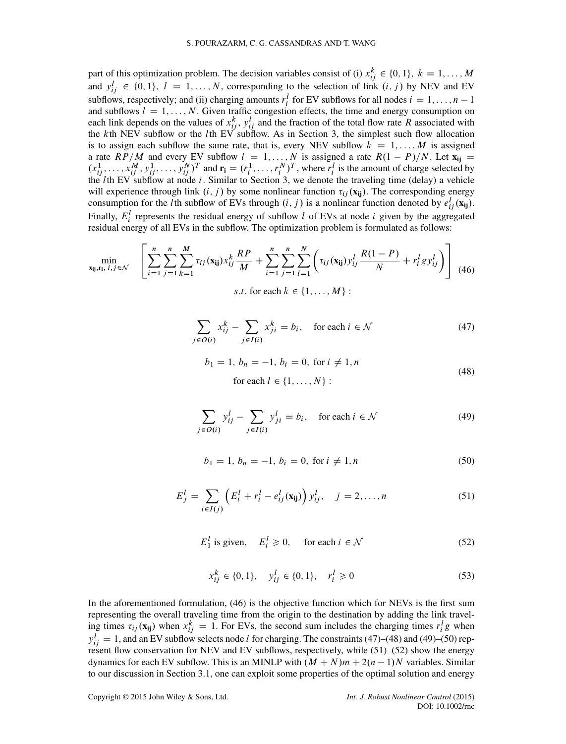part of this optimization problem. The decision variables consist of (i)  $x_{ij}^k \in \{0, 1\}$ ,  $k = 1, ..., M$ and  $y_{ij}^l \in \{0, 1\}, l = 1, ..., N$ , corresponding to the selection of link  $(i, j)$  by NEV and EV subflows, respectively; and (ii) charging amounts  $r_i^l$  for EV subflows for all nodes  $i = 1, ..., n - 1$ and subflows  $l = 1, \ldots, N$ . Given traffic congestion effects, the time and energy consumption on each link depends on the values of  $x_{ij}^k$ ,  $y_{ij}^l$  and the fraction of the total flow rate R associated with the kth NEV subflow or the lth EV subflow. As in Section [3,](#page-7-0) the simplest such flow allocation is to assign each subflow the same rate, that is, every NEV subflow  $k = 1, \ldots, M$  is assigned a rate  $RP/M$  and every EV subflow  $l = 1, ..., N$  is assigned a rate  $R(1 - P)/N$ . Let  $\mathbf{x}_{ij} =$  $(x_{ij}^1, \ldots, x_{ij}^M, y_{ij}^1, \ldots, y_{ij}^N)^T$  and  $\mathbf{r_i} = (r_i^1, \ldots, r_i^N)^T$ , where  $r_i^l$  is the amount of charge selected by the *l*th EV subflow at node *i*. Similar to Section [3,](#page-7-0) we denote the traveling time (delay) a vehicle will experience through link  $(i, j)$  by some nonlinear function  $\tau_{ij}(\mathbf{x_{ij}})$ . The corresponding energy consumption for the *l* th subflow of EVs through  $(i, j)$  is a nonlinear function denoted by  $e_{ij}^l(\mathbf{x_{ij}})$ . Finally,  $E_i^l$  represents the residual energy of subflow l of EVs at node i given by the aggregated residual energy of all EVs in the subflow. The optimization problem is formulated as follows:

<span id="page-23-0"></span>
$$
\min_{\mathbf{x}_{ij},\mathbf{r}_{i},\,i,j\in\mathcal{N}} \quad \left[ \sum_{i=1}^{n} \sum_{j=1}^{n} \sum_{k=1}^{M} \tau_{ij}(\mathbf{x}_{ij}) x_{ij}^{k} \frac{RP}{M} + \sum_{i=1}^{n} \sum_{j=1}^{n} \sum_{l=1}^{N} \left( \tau_{ij}(\mathbf{x}_{ij}) y_{ij}^{l} \frac{R(1-P)}{N} + r_{i}^{l} g y_{ij}^{l} \right) \right] \tag{46}
$$

s.t. for each  $k \in \{1, \ldots, M\}$ :

<span id="page-23-1"></span>
$$
\sum_{j \in O(i)} x_{ij}^k - \sum_{j \in I(i)} x_{ji}^k = b_i, \quad \text{for each } i \in \mathcal{N}
$$
 (47)

<span id="page-23-2"></span>
$$
b_1 = 1, b_n = -1, b_i = 0, \text{ for } i \neq 1, n
$$
  
for each  $l \in \{1, ..., N\}$ : (48)

<span id="page-23-3"></span>
$$
\sum_{j \in O(i)} y_{ij}^l - \sum_{j \in I(i)} y_{ji}^l = b_i, \quad \text{for each } i \in \mathcal{N}
$$
 (49)

<span id="page-23-4"></span>
$$
b_1 = 1, b_n = -1, b_i = 0, \text{ for } i \neq 1, n
$$
 (50)

<span id="page-23-5"></span>
$$
E_j^l = \sum_{i \in I(j)} \left( E_i^l + r_i^l - e_{ij}^l(\mathbf{x}_{ij}) \right) y_{ij}^l, \quad j = 2, ..., n
$$
 (51)

<span id="page-23-6"></span>
$$
E_1^l \text{ is given, } E_i^l \ge 0, \quad \text{for each } i \in \mathcal{N} \tag{52}
$$

$$
x_{ij}^k \in \{0, 1\}, \quad y_{ij}^l \in \{0, 1\}, \quad r_i^l \ge 0 \tag{53}
$$

In the aforementioned formulation, [\(46\)](#page-23-0) is the objective function which for NEVs is the first sum representing the overall traveling time from the origin to the destination by adding the link traveling times  $\tau_{ij}(\mathbf{x_{ij}})$  when  $x_{ij}^k = 1$ . For EVs, the second sum includes the charging times  $r_i^l g$  when  $y_{ij}^l = 1$ , and an EV subflow selects node l for charging. The constraints [\(47\)](#page-23-1)–[\(48\)](#page-23-2) and [\(49\)](#page-23-3)–[\(50\)](#page-23-4) represent flow conservation for NEV and EV subflows, respectively, while [\(51\)](#page-23-5)–[\(52\)](#page-23-6) show the energy dynamics for each EV subflow. This is an MINLP with  $(M + N)m + 2(n - 1)N$  variables. Similar to our discussion in Section [3.1,](#page-8-6) one can exploit some properties of the optimal solution and energy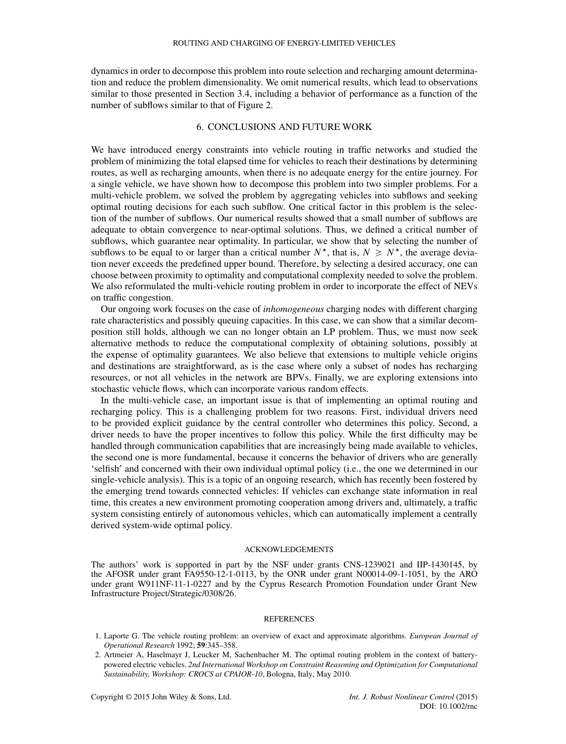dynamics in order to decompose this problem into route selection and recharging amount determination and reduce the problem dimensionality. We omit numerical results, which lead to observations similar to those presented in Section [3.4,](#page-14-2) including a behavior of performance as a function of the number of subflows similar to that of Figure [2.](#page-15-0)

#### 6. CONCLUSIONS AND FUTURE WORK

<span id="page-24-2"></span>We have introduced energy constraints into vehicle routing in traffic networks and studied the problem of minimizing the total elapsed time for vehicles to reach their destinations by determining routes, as well as recharging amounts, when there is no adequate energy for the entire journey. For a single vehicle, we have shown how to decompose this problem into two simpler problems. For a multi-vehicle problem, we solved the problem by aggregating vehicles into subflows and seeking optimal routing decisions for each such subflow. One critical factor in this problem is the selection of the number of subflows. Our numerical results showed that a small number of subflows are adequate to obtain convergence to near-optimal solutions. Thus, we defined a critical number of subflows, which guarantee near optimality. In particular, we show that by selecting the number of subflows to be equal to or larger than a critical number  $N^*$ , that is,  $N \ge N^*$ , the average deviation never exceeds the predefined upper bound. Therefore, by selecting a desired accuracy, one can choose between proximity to optimality and computational complexity needed to solve the problem. We also reformulated the multi-vehicle routing problem in order to incorporate the effect of NEVs on traffic congestion.

Our ongoing work focuses on the case of *inhomogeneous* charging nodes with different charging rate characteristics and possibly queuing capacities. In this case, we can show that a similar decomposition still holds, although we can no longer obtain an LP problem. Thus, we must now seek alternative methods to reduce the computational complexity of obtaining solutions, possibly at the expense of optimality guarantees. We also believe that extensions to multiple vehicle origins and destinations are straightforward, as is the case where only a subset of nodes has recharging resources, or not all vehicles in the network are BPVs. Finally, we are exploring extensions into stochastic vehicle flows, which can incorporate various random effects.

In the multi-vehicle case, an important issue is that of implementing an optimal routing and recharging policy. This is a challenging problem for two reasons. First, individual drivers need to be provided explicit guidance by the central controller who determines this policy. Second, a driver needs to have the proper incentives to follow this policy. While the first difficulty may be handled through communication capabilities that are increasingly being made available to vehicles, the second one is more fundamental, because it concerns the behavior of drivers who are generally 'selfish' and concerned with their own individual optimal policy (i.e., the one we determined in our single-vehicle analysis). This is a topic of an ongoing research, which has recently been fostered by the emerging trend towards connected vehicles: If vehicles can exchange state information in real time, this creates a new environment promoting cooperation among drivers and, ultimately, a traffic system consisting entirely of autonomous vehicles, which can automatically implement a centrally derived system-wide optimal policy.

#### ACKNOWLEDGEMENTS

The authors' work is supported in part by the NSF under grants CNS-1239021 and IIP-1430145, by the AFOSR under grant FA9550-12-1-0113, by the ONR under grant N00014-09-1-1051, by the ARO under grant W911NF-11-1-0227 and by the Cyprus Research Promotion Foundation under Grant New Infrastructure Project/Strategic/0308/26.

#### REFERENCES

- <span id="page-24-0"></span>1. Laporte G. The vehicle routing problem: an overview of exact and approximate algorithms. *European Journal of Operational Research* 1992; **59**:345–358.
- <span id="page-24-1"></span>2. Artmeier A, Haselmayr J, Leucker M, Sachenbacher M. The optimal routing problem in the context of batterypowered electric vehicles. *2nd International Workshop on Constraint Reasoning and Optimization for Computational Sustainability, Workshop: CROCS at CPAIOR-10*, Bologna, Italy, May 2010.